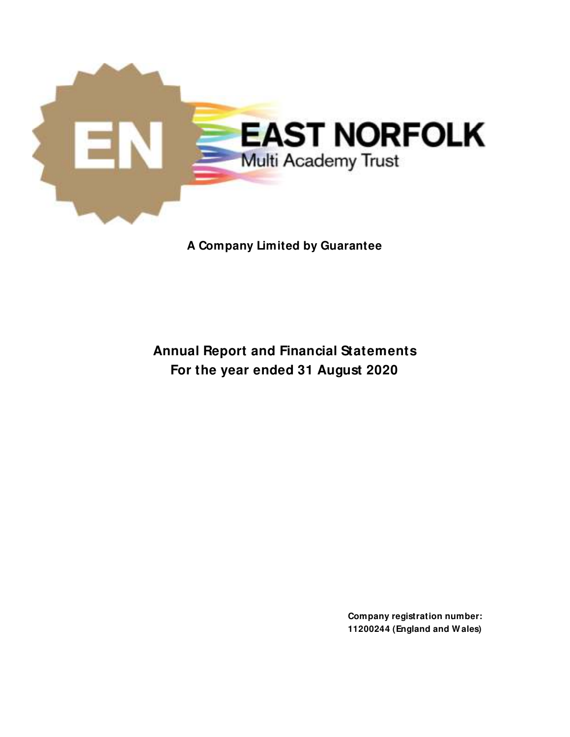

**A Company Limited by Guarantee**

**Annual Report and Financial Statements For the year ended 31 August 2020**

> **Company registration number: 11200244 (England and W ales)**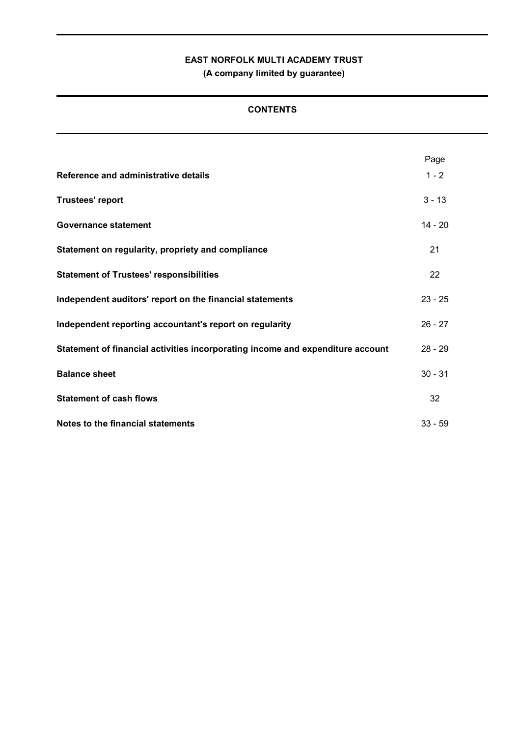**(A company limited by guarantee)**

## **CONTENTS**

| Reference and administrative details                                           | Page<br>$1 - 2$ |
|--------------------------------------------------------------------------------|-----------------|
| <b>Trustees' report</b>                                                        | $3 - 13$        |
| <b>Governance statement</b>                                                    | $14 - 20$       |
| Statement on regularity, propriety and compliance                              | 21              |
| <b>Statement of Trustees' responsibilities</b>                                 | 22              |
| Independent auditors' report on the financial statements                       | $23 - 25$       |
| Independent reporting accountant's report on regularity                        | $26 - 27$       |
| Statement of financial activities incorporating income and expenditure account | $28 - 29$       |
| <b>Balance sheet</b>                                                           | $30 - 31$       |
| <b>Statement of cash flows</b>                                                 | 32              |
| Notes to the financial statements                                              | $33 - 59$       |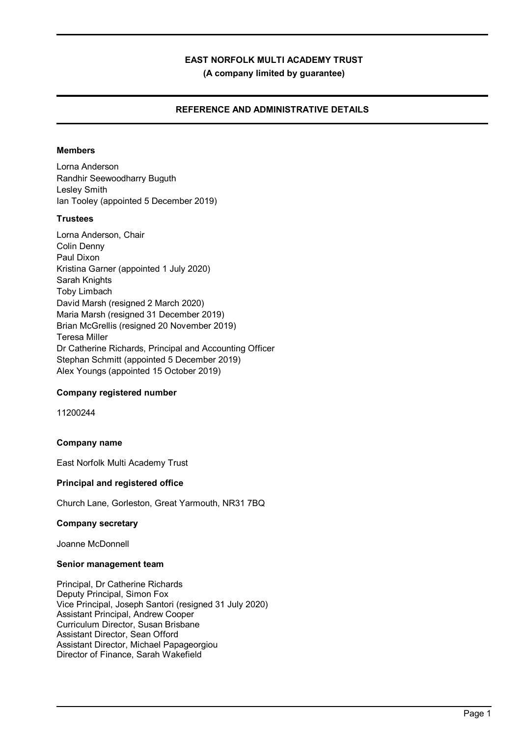**(A company limited by guarantee)**

### **REFERENCE AND ADMINISTRATIVE DETAILS**

### **Members**

Lorna Anderson Randhir Seewoodharry Buguth Lesley Smith Ian Tooley (appointed 5 December 2019)

### **Trustees**

Lorna Anderson, Chair Colin Denny Paul Dixon Kristina Garner (appointed 1 July 2020) Sarah Knights Toby Limbach David Marsh (resigned 2 March 2020) Maria Marsh (resigned 31 December 2019) Brian McGrellis (resigned 20 November 2019) Teresa Miller Dr Catherine Richards, Principal and Accounting Officer Stephan Schmitt (appointed 5 December 2019) Alex Youngs (appointed 15 October 2019)

### **Company registered number**

11200244

### **Company name**

East Norfolk Multi Academy Trust

### **Principal and registered office**

Church Lane, Gorleston, Great Yarmouth, NR31 7BQ

### **Company secretary**

Joanne McDonnell

### **Senior management team**

Principal, Dr Catherine Richards Deputy Principal, Simon Fox Vice Principal, Joseph Santori (resigned 31 July 2020) Assistant Principal, Andrew Cooper Curriculum Director, Susan Brisbane Assistant Director, Sean Offord Assistant Director, Michael Papageorgiou Director of Finance, Sarah Wakefield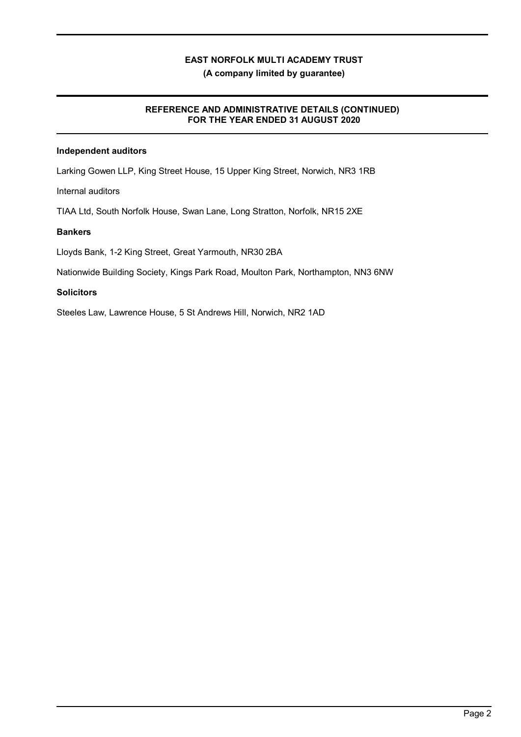**(A company limited by guarantee)**

### **REFERENCE AND ADMINISTRATIVE DETAILS (CONTINUED) FOR THE YEAR ENDED 31 AUGUST 2020**

### **Independent auditors**

Larking Gowen LLP, King Street House, 15 Upper King Street, Norwich, NR3 1RB

Internal auditors

TIAA Ltd, South Norfolk House, Swan Lane, Long Stratton, Norfolk, NR15 2XE

### **Bankers**

Lloyds Bank, 1-2 King Street, Great Yarmouth, NR30 2BA

Nationwide Building Society, Kings Park Road, Moulton Park, Northampton, NN3 6NW

### **Solicitors**

Steeles Law, Lawrence House, 5 St Andrews Hill, Norwich, NR2 1AD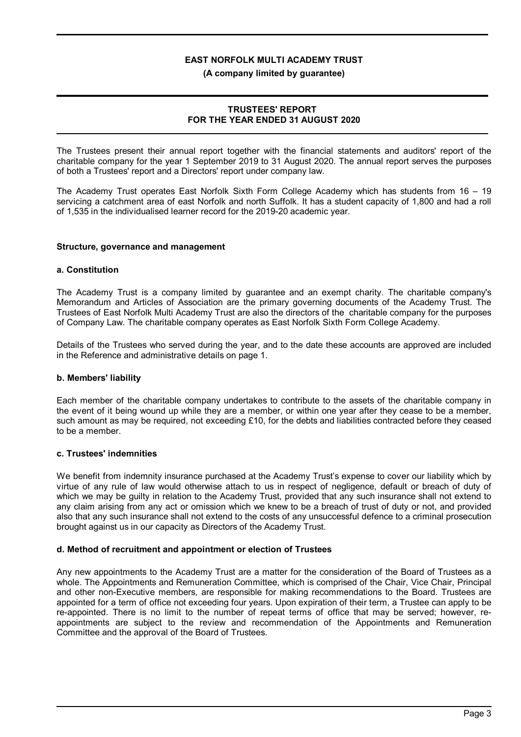### **(A company limited by guarantee)**

### **TRUSTEES' REPORT FOR THE YEAR ENDED 31 AUGUST 2020**

The Trustees present their annual report together with the financial statements and auditors' report of the charitable company for the year 1 September 2019 to 31 August 2020. The annual report serves the purposes of both a Trustees' report and a Directors' report under company law.

The Academy Trust operates East Norfolk Sixth Form College Academy which has students from 16 – 19 servicing a catchment area of east Norfolk and north Suffolk. It has a student capacity of 1,800 and had a roll of 1,535 in the individualised learner record for the 2019-20 academic year.

### **Structure, governance and management**

### **a. Constitution**

The Academy Trust is a company limited by guarantee and an exempt charity. The charitable company's Memorandum and Articles of Association are the primary governing documents of the Academy Trust. The Trustees of East Norfolk Multi Academy Trust are also the directors of the charitable company for the purposes of Company Law. The charitable company operates as East Norfolk Sixth Form College Academy.

Details of the Trustees who served during the year, and to the date these accounts are approved are included in the Reference and administrative details on page 1.

#### **b. Members' liability**

Each member of the charitable company undertakes to contribute to the assets of the charitable company in the event of it being wound up while they are a member, or within one year after they cease to be a member, such amount as may be required, not exceeding £10, for the debts and liabilities contracted before they ceased to be a member.

### **c. Trustees' indemnities**

We benefit from indemnity insurance purchased at the Academy Trust's expense to cover our liability which by virtue of any rule of law would otherwise attach to us in respect of negligence, default or breach of duty of which we may be guilty in relation to the Academy Trust, provided that any such insurance shall not extend to any claim arising from any act or omission which we knew to be a breach of trust of duty or not, and provided also that any such insurance shall not extend to the costs of any unsuccessful defence to a criminal prosecution brought against us in our capacity as Directors of the Academy Trust.

### **d. Method of recruitment and appointment or election of Trustees**

Any new appointments to the Academy Trust are a matter for the consideration of the Board of Trustees as a whole. The Appointments and Remuneration Committee, which is comprised of the Chair, Vice Chair, Principal and other non-Executive members, are responsible for making recommendations to the Board. Trustees are appointed for a term of office not exceeding four years. Upon expiration of their term, a Trustee can apply to be re-appointed. There is no limit to the number of repeat terms of office that may be served; however, reappointments are subject to the review and recommendation of the Appointments and Remuneration Committee and the approval of the Board of Trustees.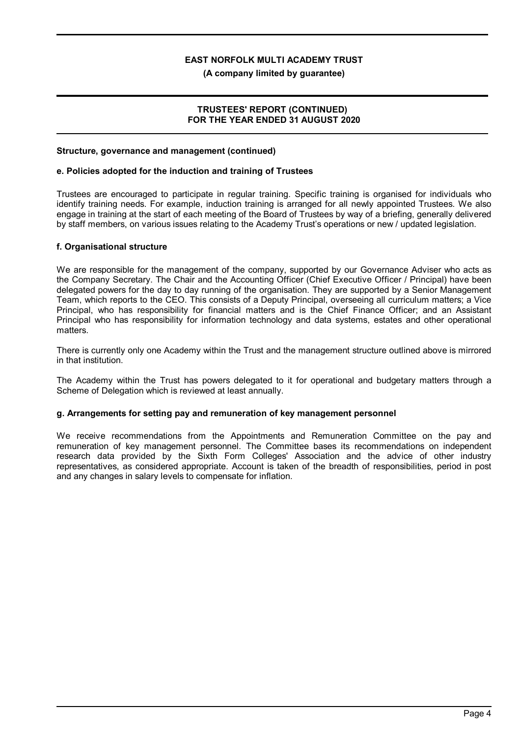**(A company limited by guarantee)**

### **TRUSTEES' REPORT (CONTINUED) FOR THE YEAR ENDED 31 AUGUST 2020**

#### **Structure, governance and management (continued)**

### **e. Policies adopted for the induction and training of Trustees**

Trustees are encouraged to participate in regular training. Specific training is organised for individuals who identify training needs. For example, induction training is arranged for all newly appointed Trustees. We also engage in training at the start of each meeting of the Board of Trustees by way of a briefing, generally delivered by staff members, on various issues relating to the Academy Trust's operations or new / updated legislation.

### **f. Organisational structure**

We are responsible for the management of the company, supported by our Governance Adviser who acts as the Company Secretary. The Chair and the Accounting Officer (Chief Executive Officer / Principal) have been delegated powers for the day to day running of the organisation. They are supported by a Senior Management Team, which reports to the CEO. This consists of a Deputy Principal, overseeing all curriculum matters; a Vice Principal, who has responsibility for financial matters and is the Chief Finance Officer; and an Assistant Principal who has responsibility for information technology and data systems, estates and other operational matters.

There is currently only one Academy within the Trust and the management structure outlined above is mirrored in that institution.

The Academy within the Trust has powers delegated to it for operational and budgetary matters through a Scheme of Delegation which is reviewed at least annually.

### **g. Arrangements for setting pay and remuneration of key management personnel**

We receive recommendations from the Appointments and Remuneration Committee on the pay and remuneration of key management personnel. The Committee bases its recommendations on independent research data provided by the Sixth Form Colleges' Association and the advice of other industry representatives, as considered appropriate. Account is taken of the breadth of responsibilities, period in post and any changes in salary levels to compensate for inflation.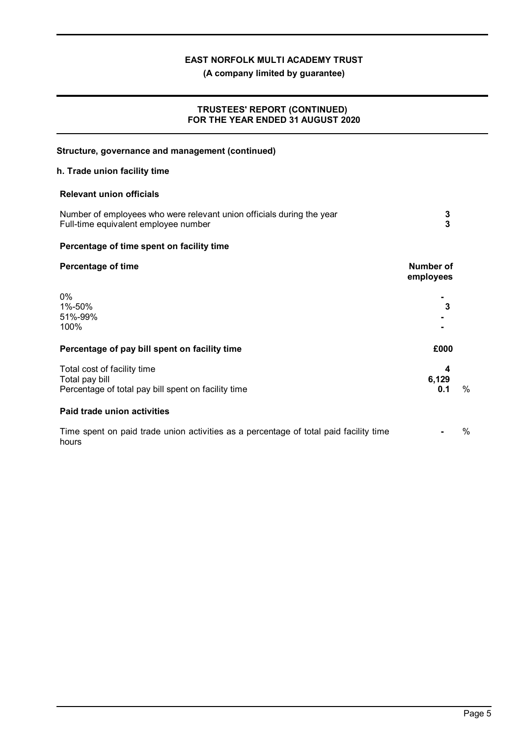**(A company limited by guarantee)**

### **TRUSTEES' REPORT (CONTINUED) FOR THE YEAR ENDED 31 AUGUST 2020**

| Structure, governance and management (continued)                                                              |                               |      |
|---------------------------------------------------------------------------------------------------------------|-------------------------------|------|
| h. Trade union facility time                                                                                  |                               |      |
| <b>Relevant union officials</b>                                                                               |                               |      |
| Number of employees who were relevant union officials during the year<br>Full-time equivalent employee number | 3<br>$\overline{\mathbf{3}}$  |      |
| Percentage of time spent on facility time                                                                     |                               |      |
| <b>Percentage of time</b>                                                                                     | <b>Number of</b><br>employees |      |
| 0%<br>1%-50%<br>51%-99%<br>100%                                                                               | 3                             |      |
| Percentage of pay bill spent on facility time                                                                 | £000                          |      |
| Total cost of facility time<br>Total pay bill<br>Percentage of total pay bill spent on facility time          | 4<br>6,129<br>0.1             | $\%$ |
| <b>Paid trade union activities</b>                                                                            |                               |      |
| Time spent on paid trade union activities as a percentage of total paid facility time<br>hours                |                               | $\%$ |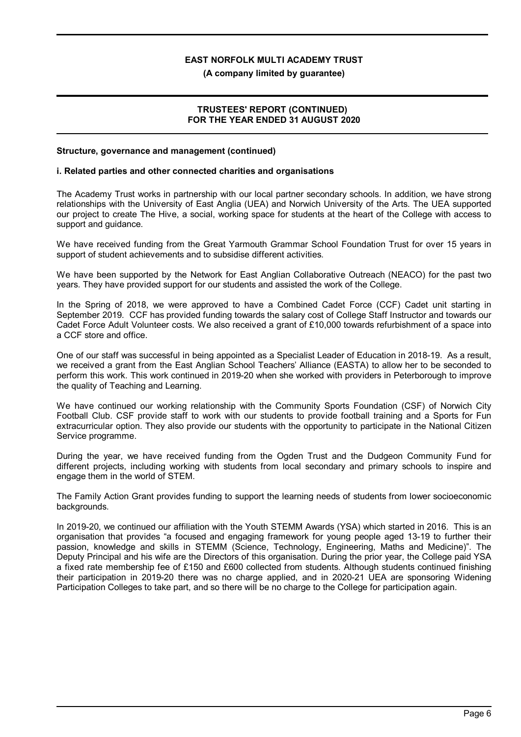**(A company limited by guarantee)**

### **TRUSTEES' REPORT (CONTINUED) FOR THE YEAR ENDED 31 AUGUST 2020**

### **Structure, governance and management (continued)**

### **i. Related parties and other connected charities and organisations**

The Academy Trust works in partnership with our local partner secondary schools. In addition, we have strong relationships with the University of East Anglia (UEA) and Norwich University of the Arts. The UEA supported our project to create The Hive, a social, working space for students at the heart of the College with access to support and guidance.

We have received funding from the Great Yarmouth Grammar School Foundation Trust for over 15 years in support of student achievements and to subsidise different activities.

We have been supported by the Network for East Anglian Collaborative Outreach (NEACO) for the past two years. They have provided support for our students and assisted the work of the College.

In the Spring of 2018, we were approved to have a Combined Cadet Force (CCF) Cadet unit starting in September 2019. CCF has provided funding towards the salary cost of College Staff Instructor and towards our Cadet Force Adult Volunteer costs. We also received a grant of £10,000 towards refurbishment of a space into a CCF store and office.

One of our staff was successful in being appointed as a Specialist Leader of Education in 2018-19. As a result, we received a grant from the East Anglian School Teachers' Alliance (EASTA) to allow her to be seconded to perform this work. This work continued in 2019-20 when she worked with providers in Peterborough to improve the quality of Teaching and Learning.

We have continued our working relationship with the Community Sports Foundation (CSF) of Norwich City Football Club. CSF provide staff to work with our students to provide football training and a Sports for Fun extracurricular option. They also provide our students with the opportunity to participate in the National Citizen Service programme.

During the year, we have received funding from the Ogden Trust and the Dudgeon Community Fund for different projects, including working with students from local secondary and primary schools to inspire and engage them in the world of STEM.

The Family Action Grant provides funding to support the learning needs of students from lower socioeconomic backgrounds.

In 2019-20, we continued our affiliation with the Youth STEMM Awards (YSA) which started in 2016. This is an organisation that provides "a focused and engaging framework for young people aged 13-19 to further their passion, knowledge and skills in STEMM (Science, Technology, Engineering, Maths and Medicine)". The Deputy Principal and his wife are the Directors of this organisation. During the prior year, the College paid YSA a fixed rate membership fee of £150 and £600 collected from students. Although students continued finishing their participation in 2019-20 there was no charge applied, and in 2020-21 UEA are sponsoring Widening Participation Colleges to take part, and so there will be no charge to the College for participation again.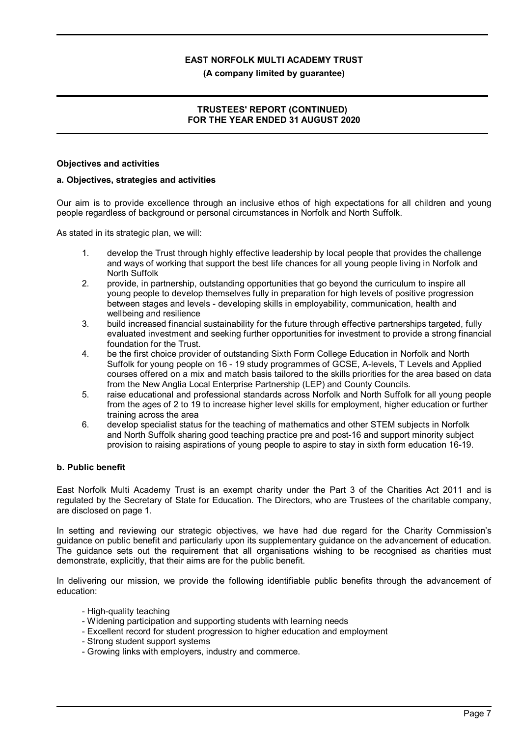### **(A company limited by guarantee)**

### **TRUSTEES' REPORT (CONTINUED) FOR THE YEAR ENDED 31 AUGUST 2020**

#### **Objectives and activities**

#### **a. Objectives, strategies and activities**

Our aim is to provide excellence through an inclusive ethos of high expectations for all children and young people regardless of background or personal circumstances in Norfolk and North Suffolk.

As stated in its strategic plan, we will:

- 1. develop the Trust through highly effective leadership by local people that provides the challenge and ways of working that support the best life chances for all young people living in Norfolk and North Suffolk
- 2. provide, in partnership, outstanding opportunities that go beyond the curriculum to inspire all young people to develop themselves fully in preparation for high levels of positive progression between stages and levels - developing skills in employability, communication, health and wellbeing and resilience
- 3. build increased financial sustainability for the future through effective partnerships targeted, fully evaluated investment and seeking further opportunities for investment to provide a strong financial foundation for the Trust.
- 4. be the first choice provider of outstanding Sixth Form College Education in Norfolk and North Suffolk for young people on 16 - 19 study programmes of GCSE, A-levels, T Levels and Applied courses offered on a mix and match basis tailored to the skills priorities for the area based on data from the New Anglia Local Enterprise Partnership (LEP) and County Councils.
- 5. raise educational and professional standards across Norfolk and North Suffolk for all young people from the ages of 2 to 19 to increase higher level skills for employment, higher education or further training across the area
- 6. develop specialist status for the teaching of mathematics and other STEM subjects in Norfolk and North Suffolk sharing good teaching practice pre and post-16 and support minority subject provision to raising aspirations of young people to aspire to stay in sixth form education 16-19.

### **b. Public benefit**

East Norfolk Multi Academy Trust is an exempt charity under the Part 3 of the Charities Act 2011 and is regulated by the Secretary of State for Education. The Directors, who are Trustees of the charitable company, are disclosed on page 1.

In setting and reviewing our strategic objectives, we have had due regard for the Charity Commission's guidance on public benefit and particularly upon its supplementary guidance on the advancement of education. The guidance sets out the requirement that all organisations wishing to be recognised as charities must demonstrate, explicitly, that their aims are for the public benefit.

In delivering our mission, we provide the following identifiable public benefits through the advancement of education:

- High-quality teaching
- Widening participation and supporting students with learning needs
- Excellent record for student progression to higher education and employment
- Strong student support systems
- Growing links with employers, industry and commerce.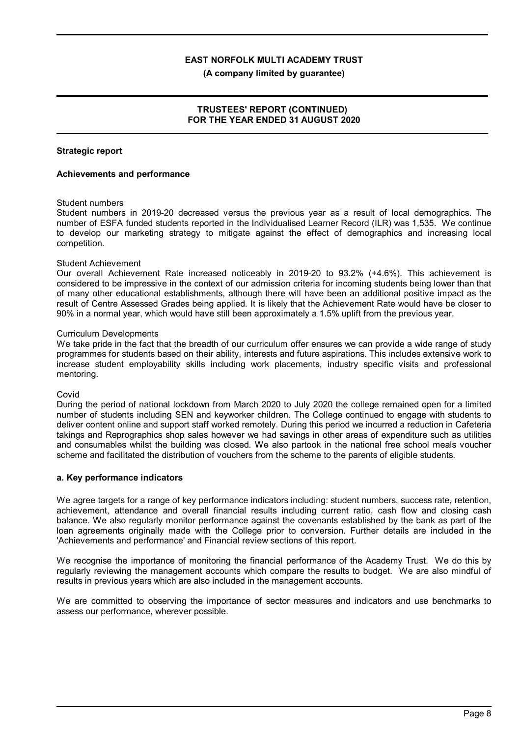**(A company limited by guarantee)**

### **TRUSTEES' REPORT (CONTINUED) FOR THE YEAR ENDED 31 AUGUST 2020**

### **Strategic report**

#### **Achievements and performance**

#### Student numbers

Student numbers in 2019-20 decreased versus the previous year as a result of local demographics. The number of ESFA funded students reported in the Individualised Learner Record (ILR) was 1,535. We continue to develop our marketing strategy to mitigate against the effect of demographics and increasing local competition.

### Student Achievement

Our overall Achievement Rate increased noticeably in 2019-20 to 93.2% (+4.6%). This achievement is considered to be impressive in the context of our admission criteria for incoming students being lower than that of many other educational establishments, although there will have been an additional positive impact as the result of Centre Assessed Grades being applied. It is likely that the Achievement Rate would have be closer to 90% in a normal year, which would have still been approximately a 1.5% uplift from the previous year.

#### Curriculum Developments

We take pride in the fact that the breadth of our curriculum offer ensures we can provide a wide range of study programmes for students based on their ability, interests and future aspirations. This includes extensive work to increase student employability skills including work placements, industry specific visits and professional mentoring.

#### Covid

During the period of national lockdown from March 2020 to July 2020 the college remained open for a limited number of students including SEN and keyworker children. The College continued to engage with students to deliver content online and support staff worked remotely. During this period we incurred a reduction in Cafeteria takings and Reprographics shop sales however we had savings in other areas of expenditure such as utilities and consumables whilst the building was closed. We also partook in the national free school meals voucher scheme and facilitated the distribution of vouchers from the scheme to the parents of eligible students.

#### **a. Key performance indicators**

We agree targets for a range of key performance indicators including: student numbers, success rate, retention, achievement, attendance and overall financial results including current ratio, cash flow and closing cash balance. We also regularly monitor performance against the covenants established by the bank as part of the loan agreements originally made with the College prior to conversion. Further details are included in the 'Achievements and performance' and Financial review sections of this report.

We recognise the importance of monitoring the financial performance of the Academy Trust. We do this by regularly reviewing the management accounts which compare the results to budget. We are also mindful of results in previous years which are also included in the management accounts.

We are committed to observing the importance of sector measures and indicators and use benchmarks to assess our performance, wherever possible.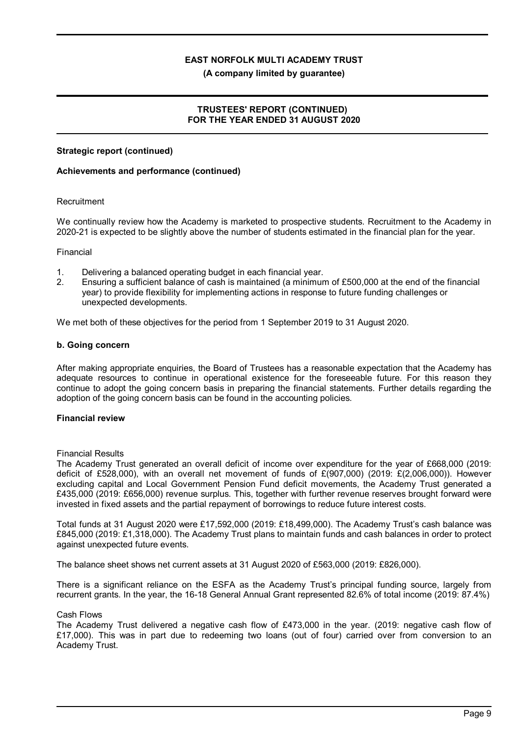#### **(A company limited by guarantee)**

### **TRUSTEES' REPORT (CONTINUED) FOR THE YEAR ENDED 31 AUGUST 2020**

### **Strategic report (continued)**

### **Achievements and performance (continued)**

### **Recruitment**

We continually review how the Academy is marketed to prospective students. Recruitment to the Academy in 2020-21 is expected to be slightly above the number of students estimated in the financial plan for the year.

#### Financial

- 1. Delivering a balanced operating budget in each financial year.
- 2. Ensuring a sufficient balance of cash is maintained (a minimum of £500,000 at the end of the financial year) to provide flexibility for implementing actions in response to future funding challenges or unexpected developments.

We met both of these objectives for the period from 1 September 2019 to 31 August 2020.

### **b. Going concern**

After making appropriate enquiries, the Board of Trustees has a reasonable expectation that the Academy has adequate resources to continue in operational existence for the foreseeable future. For this reason they continue to adopt the going concern basis in preparing the financial statements. Further details regarding the adoption of the going concern basis can be found in the accounting policies.

### **Financial review**

#### Financial Results

The Academy Trust generated an overall deficit of income over expenditure for the year of £668,000 (2019: deficit of £528,000), with an overall net movement of funds of  $E(907,000)$  (2019:  $E(2,006,000)$ ). However excluding capital and Local Government Pension Fund deficit movements, the Academy Trust generated a £435,000 (2019: £656,000) revenue surplus. This, together with further revenue reserves brought forward were invested in fixed assets and the partial repayment of borrowings to reduce future interest costs.

Total funds at 31 August 2020 were £17,592,000 (2019: £18,499,000). The Academy Trust's cash balance was £845,000 (2019: £1,318,000). The Academy Trust plans to maintain funds and cash balances in order to protect against unexpected future events.

The balance sheet shows net current assets at 31 August 2020 of £563,000 (2019: £826,000).

There is a significant reliance on the ESFA as the Academy Trust's principal funding source, largely from recurrent grants. In the year, the 16-18 General Annual Grant represented 82.6% of total income (2019: 87.4%)

### Cash Flows

The Academy Trust delivered a negative cash flow of £473,000 in the year. (2019: negative cash flow of £17,000). This was in part due to redeeming two loans (out of four) carried over from conversion to an Academy Trust.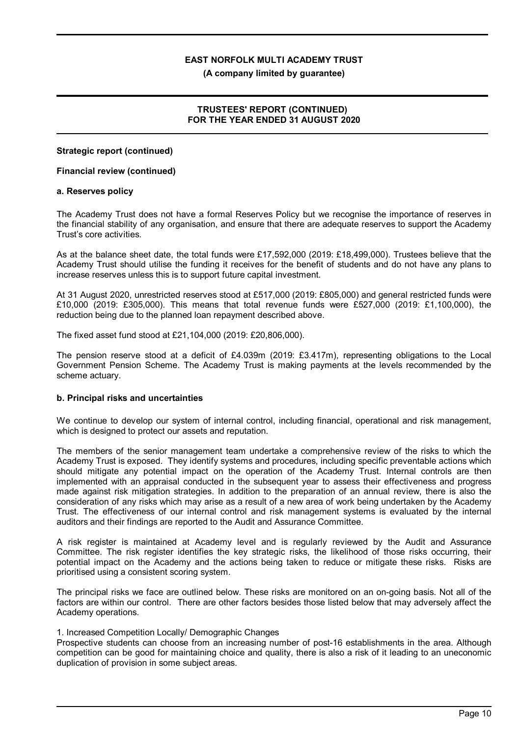**(A company limited by guarantee)**

### **TRUSTEES' REPORT (CONTINUED) FOR THE YEAR ENDED 31 AUGUST 2020**

### **Strategic report (continued)**

### **Financial review (continued)**

### **a. Reserves policy**

The Academy Trust does not have a formal Reserves Policy but we recognise the importance of reserves in the financial stability of any organisation, and ensure that there are adequate reserves to support the Academy Trust's core activities.

As at the balance sheet date, the total funds were £17,592,000 (2019: £18,499,000). Trustees believe that the Academy Trust should utilise the funding it receives for the benefit of students and do not have any plans to increase reserves unless this is to support future capital investment.

At 31 August 2020, unrestricted reserves stood at £517,000 (2019: £805,000) and general restricted funds were £10,000 (2019: £305,000). This means that total revenue funds were £527,000 (2019: £1,100,000), the reduction being due to the planned loan repayment described above.

The fixed asset fund stood at £21,104,000 (2019: £20,806,000).

The pension reserve stood at a deficit of £4.039m (2019: £3.417m), representing obligations to the Local Government Pension Scheme. The Academy Trust is making payments at the levels recommended by the scheme actuary.

### **b. Principal risks and uncertainties**

We continue to develop our system of internal control, including financial, operational and risk management, which is designed to protect our assets and reputation.

The members of the senior management team undertake a comprehensive review of the risks to which the Academy Trust is exposed. They identify systems and procedures, including specific preventable actions which should mitigate any potential impact on the operation of the Academy Trust. Internal controls are then implemented with an appraisal conducted in the subsequent year to assess their effectiveness and progress made against risk mitigation strategies. In addition to the preparation of an annual review, there is also the consideration of any risks which may arise as a result of a new area of work being undertaken by the Academy Trust. The effectiveness of our internal control and risk management systems is evaluated by the internal auditors and their findings are reported to the Audit and Assurance Committee.

A risk register is maintained at Academy level and is regularly reviewed by the Audit and Assurance Committee. The risk register identifies the key strategic risks, the likelihood of those risks occurring, their potential impact on the Academy and the actions being taken to reduce or mitigate these risks. Risks are prioritised using a consistent scoring system.

The principal risks we face are outlined below. These risks are monitored on an on-going basis. Not all of the factors are within our control. There are other factors besides those listed below that may adversely affect the Academy operations.

#### 1. Increased Competition Locally/ Demographic Changes

Prospective students can choose from an increasing number of post-16 establishments in the area. Although competition can be good for maintaining choice and quality, there is also a risk of it leading to an uneconomic duplication of provision in some subject areas.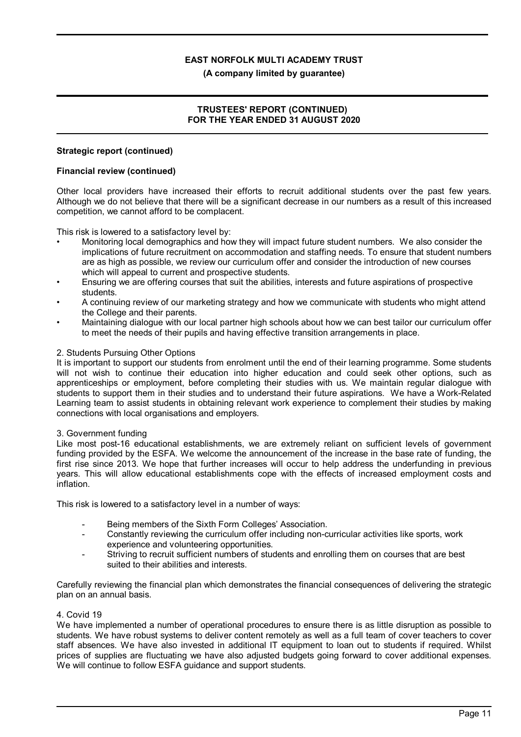### **(A company limited by guarantee)**

### **TRUSTEES' REPORT (CONTINUED) FOR THE YEAR ENDED 31 AUGUST 2020**

### **Strategic report (continued)**

### **Financial review (continued)**

Other local providers have increased their efforts to recruit additional students over the past few years. Although we do not believe that there will be a significant decrease in our numbers as a result of this increased competition, we cannot afford to be complacent.

This risk is lowered to a satisfactory level by:

- Monitoring local demographics and how they will impact future student numbers. We also consider the implications of future recruitment on accommodation and staffing needs. To ensure that student numbers are as high as possible, we review our curriculum offer and consider the introduction of new courses which will appeal to current and prospective students.
- Ensuring we are offering courses that suit the abilities, interests and future aspirations of prospective students.
- A continuing review of our marketing strategy and how we communicate with students who might attend the College and their parents.
- Maintaining dialogue with our local partner high schools about how we can best tailor our curriculum offer to meet the needs of their pupils and having effective transition arrangements in place.

### 2. Students Pursuing Other Options

It is important to support our students from enrolment until the end of their learning programme. Some students will not wish to continue their education into higher education and could seek other options, such as apprenticeships or employment, before completing their studies with us. We maintain regular dialogue with students to support them in their studies and to understand their future aspirations. We have a Work-Related Learning team to assist students in obtaining relevant work experience to complement their studies by making connections with local organisations and employers.

#### 3. Government funding

Like most post-16 educational establishments, we are extremely reliant on sufficient levels of government funding provided by the ESFA. We welcome the announcement of the increase in the base rate of funding, the first rise since 2013. We hope that further increases will occur to help address the underfunding in previous years. This will allow educational establishments cope with the effects of increased employment costs and inflation.

This risk is lowered to a satisfactory level in a number of ways:

- Being members of the Sixth Form Colleges' Association.
- Constantly reviewing the curriculum offer including non-curricular activities like sports, work experience and volunteering opportunities.
- Striving to recruit sufficient numbers of students and enrolling them on courses that are best suited to their abilities and interests.

Carefully reviewing the financial plan which demonstrates the financial consequences of delivering the strategic plan on an annual basis.

#### 4. Covid 19

We have implemented a number of operational procedures to ensure there is as little disruption as possible to students. We have robust systems to deliver content remotely as well as a full team of cover teachers to cover staff absences. We have also invested in additional IT equipment to loan out to students if required. Whilst prices of supplies are fluctuating we have also adjusted budgets going forward to cover additional expenses. We will continue to follow ESFA guidance and support students.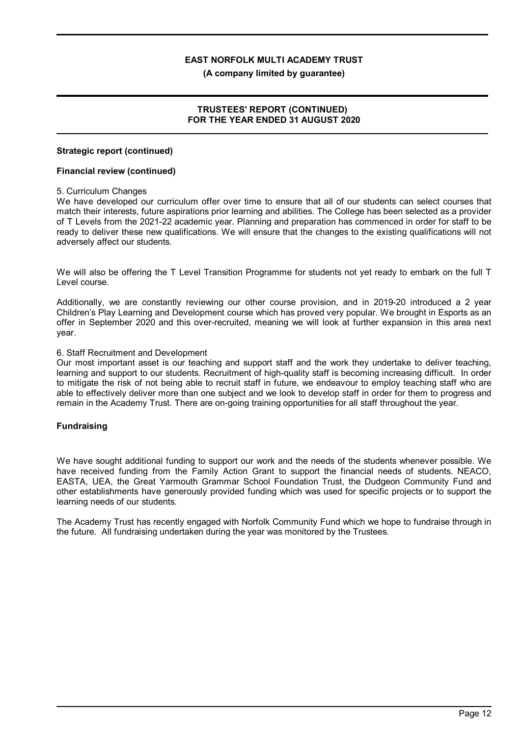#### **(A company limited by guarantee)**

### **TRUSTEES' REPORT (CONTINUED) FOR THE YEAR ENDED 31 AUGUST 2020**

### **Strategic report (continued)**

### **Financial review (continued)**

### 5. Curriculum Changes

We have developed our curriculum offer over time to ensure that all of our students can select courses that match their interests, future aspirations prior learning and abilities. The College has been selected as a provider of T Levels from the 2021-22 academic year. Planning and preparation has commenced in order for staff to be ready to deliver these new qualifications. We will ensure that the changes to the existing qualifications will not adversely affect our students.

We will also be offering the T Level Transition Programme for students not yet ready to embark on the full T Level course.

Additionally, we are constantly reviewing our other course provision, and in 2019-20 introduced a 2 year Children's Play Learning and Development course which has proved very popular. We brought in Esports as an offer in September 2020 and this over-recruited, meaning we will look at further expansion in this area next year.

### 6. Staff Recruitment and Development

Our most important asset is our teaching and support staff and the work they undertake to deliver teaching, learning and support to our students. Recruitment of high-quality staff is becoming increasing difficult. In order to mitigate the risk of not being able to recruit staff in future, we endeavour to employ teaching staff who are able to effectively deliver more than one subject and we look to develop staff in order for them to progress and remain in the Academy Trust. There are on-going training opportunities for all staff throughout the year.

### **Fundraising**

We have sought additional funding to support our work and the needs of the students whenever possible. We have received funding from the Family Action Grant to support the financial needs of students. NEACO, EASTA, UEA, the Great Yarmouth Grammar School Foundation Trust, the Dudgeon Community Fund and other establishments have generously provided funding which was used for specific projects or to support the learning needs of our students.

The Academy Trust has recently engaged with Norfolk Community Fund which we hope to fundraise through in the future. All fundraising undertaken during the year was monitored by the Trustees.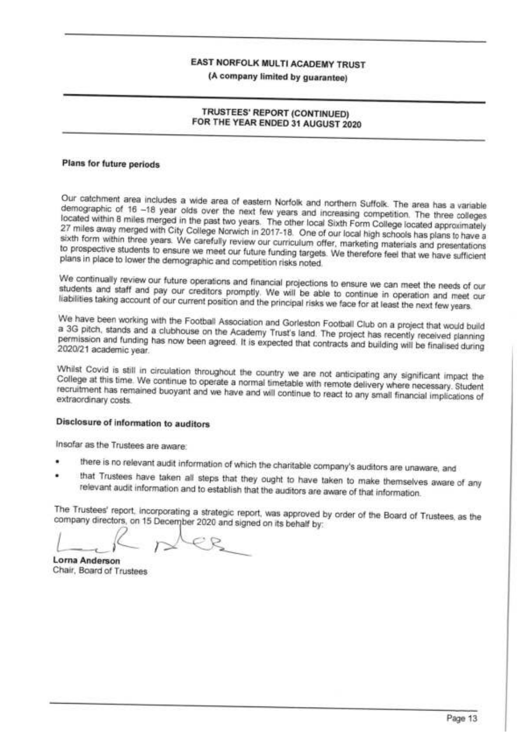(A company limited by guarantee)

### TRUSTEES' REPORT (CONTINUED) FOR THE YEAR ENDED 31 AUGUST 2020

### Plans for future periods

Our catchment area includes a wide area of eastern Norfolk and northern Suffolk. The area has a variable demographic of 16 -18 year olds over the next few years and increasing competition. The three colleges located within 8 miles merged in the past two years. The other local Sixth Form College located approximately 27 miles away merged with City College Norwich in 2017-18. One of our local high schools has plans to have a sixth form within three years. We carefully review our curriculum offer, marketing materials and presentations to prospective students to ensure we meet our future funding targets. We therefore feel that we have sufficient plans in place to lower the demographic and competition risks noted.

We continually review our future operations and financial projections to ensure we can meet the needs of our students and staff and pay our creditors promptly. We will be able to continue in operation and meet our liabilities taking account of our current position and the principal risks we face for at least the next few years.

We have been working with the Football Association and Gorleston Football Club on a project that would build a 3G pitch, stands and a clubhouse on the Academy Trust's land. The project has recently received planning permission and funding has now been agreed. It is expected that contracts and building will be finalised during 2020/21 academic year.

Whilst Covid is still in circulation throughout the country we are not anticipating any significant impact the College at this time. We continue to operate a normal timetable with remote delivery where necessary. Student recruitment has remained buoyant and we have and will continue to react to any small financial implications of extraordinary costs.

## Disclosure of information to auditors

Insofar as the Trustees are aware:

- there is no relevant audit information of which the charitable company's auditors are unaware, and
- that Trustees have taken all steps that they ought to have taken to make themselves aware of any relevant audit information and to establish that the auditors are aware of that information.

The Trustees' report, incorporating a strategic report, was approved by order of the Board of Trustees, as the company directors, on 15 December 2020 and signed on its behalf by:

**Lorna Anderson** Chair, Board of Trustees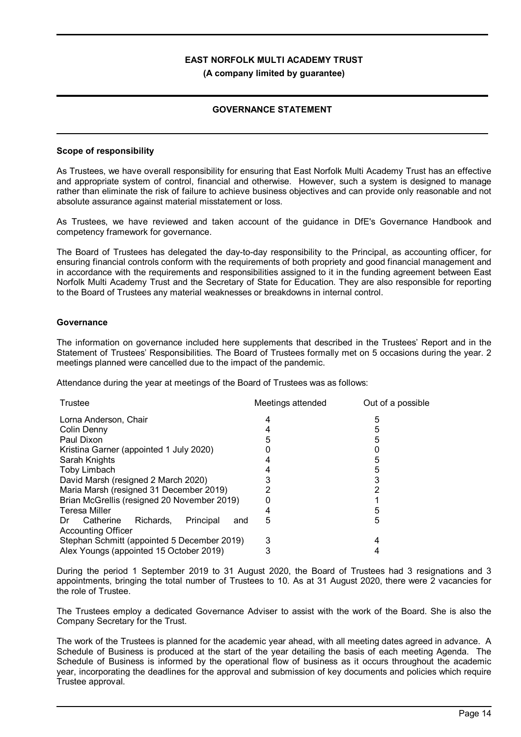### **GOVERNANCE STATEMENT**

### **Scope of responsibility**

As Trustees, we have overall responsibility for ensuring that East Norfolk Multi Academy Trust has an effective and appropriate system of control, financial and otherwise. However, such a system is designed to manage rather than eliminate the risk of failure to achieve business objectives and can provide only reasonable and not absolute assurance against material misstatement or loss.

As Trustees, we have reviewed and taken account of the guidance in DfE's Governance Handbook and competency framework for governance.

The Board of Trustees has delegated the day-to-day responsibility to the Principal, as accounting officer, for ensuring financial controls conform with the requirements of both propriety and good financial management and in accordance with the requirements and responsibilities assigned to it in the funding agreement between East Norfolk Multi Academy Trust and the Secretary of State for Education. They are also responsible for reporting to the Board of Trustees any material weaknesses or breakdowns in internal control.

### **Governance**

The information on governance included here supplements that described in the Trustees' Report and in the Statement of Trustees' Responsibilities. The Board of Trustees formally met on 5 occasions during the year. 2 meetings planned were cancelled due to the impact of the pandemic.

Attendance during the year at meetings of the Board of Trustees was as follows:

| Trustee                                          | Meetings attended | Out of a possible |
|--------------------------------------------------|-------------------|-------------------|
| Lorna Anderson, Chair                            | 4                 | 5                 |
| Colin Denny                                      |                   | 5                 |
| Paul Dixon                                       | 5                 | 5                 |
| Kristina Garner (appointed 1 July 2020)          |                   |                   |
| Sarah Knights                                    |                   | 5                 |
| Toby Limbach                                     |                   | 5                 |
| David Marsh (resigned 2 March 2020)              |                   | 3                 |
| Maria Marsh (resigned 31 December 2019)          |                   | 2                 |
| Brian McGrellis (resigned 20 November 2019)      |                   |                   |
| <b>Teresa Miller</b>                             | 4                 | 5                 |
| Principal<br>Richards.<br>Catherine<br>Dr<br>and | 5                 | 5                 |
| <b>Accounting Officer</b>                        |                   |                   |
| Stephan Schmitt (appointed 5 December 2019)      | 3                 | 4                 |
| Alex Youngs (appointed 15 October 2019)          | 3                 |                   |

During the period 1 September 2019 to 31 August 2020, the Board of Trustees had 3 resignations and 3 appointments, bringing the total number of Trustees to 10. As at 31 August 2020, there were 2 vacancies for the role of Trustee.

The Trustees employ a dedicated Governance Adviser to assist with the work of the Board. She is also the Company Secretary for the Trust.

The work of the Trustees is planned for the academic year ahead, with all meeting dates agreed in advance. A Schedule of Business is produced at the start of the year detailing the basis of each meeting Agenda. The Schedule of Business is informed by the operational flow of business as it occurs throughout the academic year, incorporating the deadlines for the approval and submission of key documents and policies which require Trustee approval.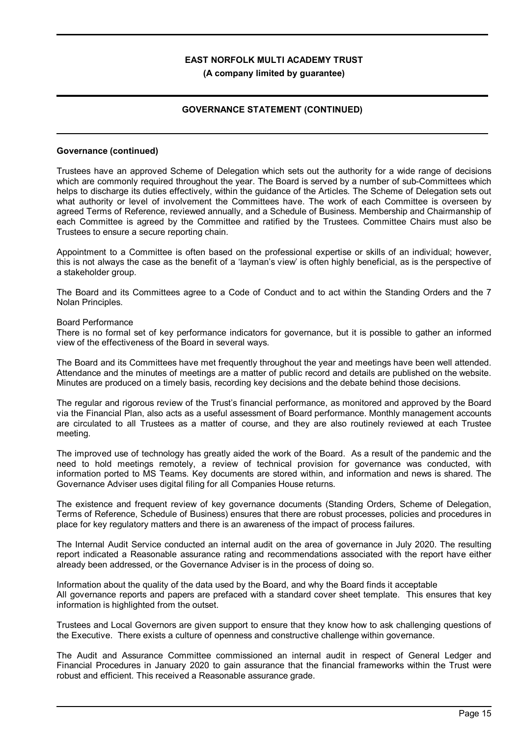### **GOVERNANCE STATEMENT (CONTINUED)**

#### **Governance (continued)**

Trustees have an approved Scheme of Delegation which sets out the authority for a wide range of decisions which are commonly required throughout the year. The Board is served by a number of sub-Committees which helps to discharge its duties effectively, within the guidance of the Articles. The Scheme of Delegation sets out what authority or level of involvement the Committees have. The work of each Committee is overseen by agreed Terms of Reference, reviewed annually, and a Schedule of Business. Membership and Chairmanship of each Committee is agreed by the Committee and ratified by the Trustees. Committee Chairs must also be Trustees to ensure a secure reporting chain.

Appointment to a Committee is often based on the professional expertise or skills of an individual; however, this is not always the case as the benefit of a 'layman's view' is often highly beneficial, as is the perspective of a stakeholder group.

The Board and its Committees agree to a Code of Conduct and to act within the Standing Orders and the 7 Nolan Principles.

#### Board Performance

There is no formal set of key performance indicators for governance, but it is possible to gather an informed view of the effectiveness of the Board in several ways.

The Board and its Committees have met frequently throughout the year and meetings have been well attended. Attendance and the minutes of meetings are a matter of public record and details are published on the website. Minutes are produced on a timely basis, recording key decisions and the debate behind those decisions.

The regular and rigorous review of the Trust's financial performance, as monitored and approved by the Board via the Financial Plan, also acts as a useful assessment of Board performance. Monthly management accounts are circulated to all Trustees as a matter of course, and they are also routinely reviewed at each Trustee meeting.

The improved use of technology has greatly aided the work of the Board. As a result of the pandemic and the need to hold meetings remotely, a review of technical provision for governance was conducted, with information ported to MS Teams. Key documents are stored within, and information and news is shared. The Governance Adviser uses digital filing for all Companies House returns.

The existence and frequent review of key governance documents (Standing Orders, Scheme of Delegation, Terms of Reference, Schedule of Business) ensures that there are robust processes, policies and procedures in place for key regulatory matters and there is an awareness of the impact of process failures.

The Internal Audit Service conducted an internal audit on the area of governance in July 2020. The resulting report indicated a Reasonable assurance rating and recommendations associated with the report have either already been addressed, or the Governance Adviser is in the process of doing so.

Information about the quality of the data used by the Board, and why the Board finds it acceptable All governance reports and papers are prefaced with a standard cover sheet template. This ensures that key information is highlighted from the outset.

Trustees and Local Governors are given support to ensure that they know how to ask challenging questions of the Executive. There exists a culture of openness and constructive challenge within governance.

The Audit and Assurance Committee commissioned an internal audit in respect of General Ledger and Financial Procedures in January 2020 to gain assurance that the financial frameworks within the Trust were robust and efficient. This received a Reasonable assurance grade.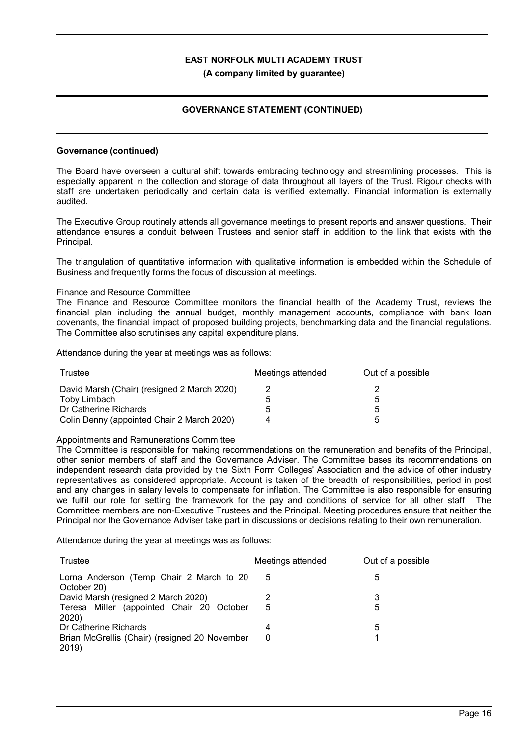### **GOVERNANCE STATEMENT (CONTINUED)**

#### **Governance (continued)**

The Board have overseen a cultural shift towards embracing technology and streamlining processes. This is especially apparent in the collection and storage of data throughout all layers of the Trust. Rigour checks with staff are undertaken periodically and certain data is verified externally. Financial information is externally audited.

The Executive Group routinely attends all governance meetings to present reports and answer questions. Their attendance ensures a conduit between Trustees and senior staff in addition to the link that exists with the Principal.

The triangulation of quantitative information with qualitative information is embedded within the Schedule of Business and frequently forms the focus of discussion at meetings.

### Finance and Resource Committee

The Finance and Resource Committee monitors the financial health of the Academy Trust, reviews the financial plan including the annual budget, monthly management accounts, compliance with bank loan covenants, the financial impact of proposed building projects, benchmarking data and the financial regulations. The Committee also scrutinises any capital expenditure plans.

Attendance during the year at meetings was as follows:

| Trustee                                     | Meetings attended | Out of a possible |
|---------------------------------------------|-------------------|-------------------|
| David Marsh (Chair) (resigned 2 March 2020) |                   |                   |
| Toby Limbach                                | 5                 | :5                |
| Dr Catherine Richards                       | ۰.                | :5                |
| Colin Denny (appointed Chair 2 March 2020)  | Δ                 | Б.                |

#### Appointments and Remunerations Committee

The Committee is responsible for making recommendations on the remuneration and benefits of the Principal, other senior members of staff and the Governance Adviser. The Committee bases its recommendations on independent research data provided by the Sixth Form Colleges' Association and the advice of other industry representatives as considered appropriate. Account is taken of the breadth of responsibilities, period in post and any changes in salary levels to compensate for inflation. The Committee is also responsible for ensuring we fulfil our role for setting the framework for the pay and conditions of service for all other staff. The Committee members are non-Executive Trustees and the Principal. Meeting procedures ensure that neither the Principal nor the Governance Adviser take part in discussions or decisions relating to their own remuneration.

Attendance during the year at meetings was as follows:

| Trustee                                                 | Meetings attended | Out of a possible |
|---------------------------------------------------------|-------------------|-------------------|
| Lorna Anderson (Temp Chair 2 March to 20<br>October 20) | 5                 | 5                 |
| David Marsh (resigned 2 March 2020)                     |                   | 3                 |
| Teresa Miller (appointed Chair 20 October<br>2020)      | 5                 | 5                 |
| Dr Catherine Richards                                   | 4                 | 5                 |
| Brian McGrellis (Chair) (resigned 20 November<br>2019)  | 0                 |                   |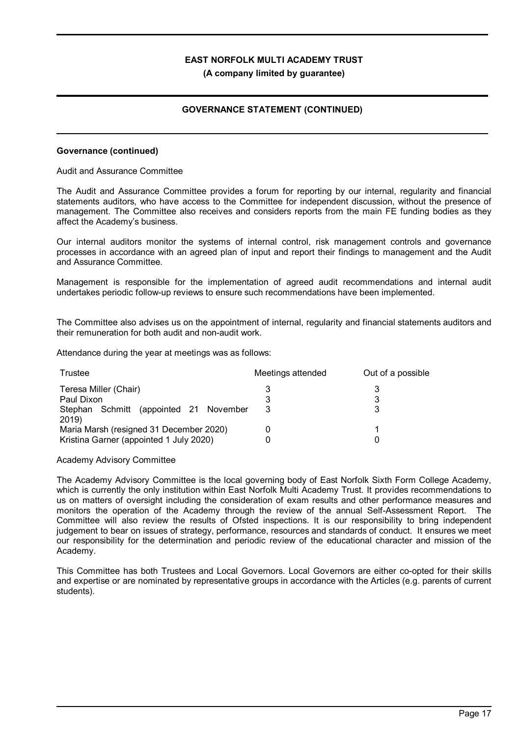### **GOVERNANCE STATEMENT (CONTINUED)**

### **Governance (continued)**

### Audit and Assurance Committee

The Audit and Assurance Committee provides a forum for reporting by our internal, regularity and financial statements auditors, who have access to the Committee for independent discussion, without the presence of management. The Committee also receives and considers reports from the main FE funding bodies as they affect the Academy's business.

Our internal auditors monitor the systems of internal control, risk management controls and governance processes in accordance with an agreed plan of input and report their findings to management and the Audit and Assurance Committee.

Management is responsible for the implementation of agreed audit recommendations and internal audit undertakes periodic follow-up reviews to ensure such recommendations have been implemented.

The Committee also advises us on the appointment of internal, regularity and financial statements auditors and their remuneration for both audit and non-audit work.

Attendance during the year at meetings was as follows:

| Trustee                                         | Meetings attended | Out of a possible |
|-------------------------------------------------|-------------------|-------------------|
| Teresa Miller (Chair)                           |                   |                   |
| Paul Dixon                                      | 3                 | 3                 |
| Stephan Schmitt (appointed 21 November<br>2019) | 3                 |                   |
| Maria Marsh (resigned 31 December 2020)         |                   |                   |
| Kristina Garner (appointed 1 July 2020)         |                   |                   |

#### Academy Advisory Committee

The Academy Advisory Committee is the local governing body of East Norfolk Sixth Form College Academy, which is currently the only institution within East Norfolk Multi Academy Trust. It provides recommendations to us on matters of oversight including the consideration of exam results and other performance measures and monitors the operation of the Academy through the review of the annual Self-Assessment Report. The Committee will also review the results of Ofsted inspections. It is our responsibility to bring independent judgement to bear on issues of strategy, performance, resources and standards of conduct. It ensures we meet our responsibility for the determination and periodic review of the educational character and mission of the Academy.

This Committee has both Trustees and Local Governors. Local Governors are either co-opted for their skills and expertise or are nominated by representative groups in accordance with the Articles (e.g. parents of current students).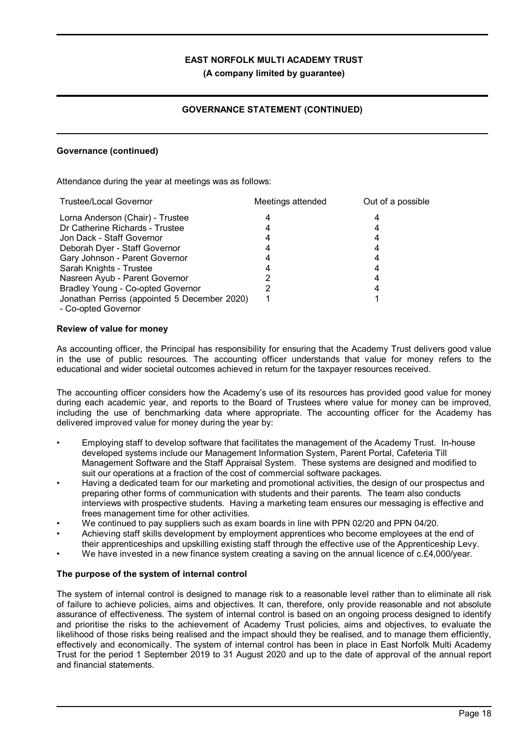**(A company limited by guarantee)**

### **GOVERNANCE STATEMENT (CONTINUED)**

### **Governance (continued)**

Attendance during the year at meetings was as follows:

| <b>Trustee/Local Governor</b>                | Meetings attended | Out of a possible |
|----------------------------------------------|-------------------|-------------------|
| Lorna Anderson (Chair) - Trustee             |                   | 4                 |
| Dr Catherine Richards - Trustee              |                   |                   |
| Jon Dack - Staff Governor                    |                   |                   |
| Deborah Dyer - Staff Governor                |                   |                   |
| Gary Johnson - Parent Governor               |                   |                   |
| Sarah Knights - Trustee                      |                   |                   |
| Nasreen Ayub - Parent Governor               |                   | 4                 |
| Bradley Young - Co-opted Governor            |                   |                   |
| Jonathan Perriss (appointed 5 December 2020) |                   |                   |
| - Co-opted Governor                          |                   |                   |

### **Review of value for money**

As accounting officer, the Principal has responsibility for ensuring that the Academy Trust delivers good value in the use of public resources. The accounting officer understands that value for money refers to the educational and wider societal outcomes achieved in return for the taxpayer resources received.

The accounting officer considers how the Academy's use of its resources has provided good value for money during each academic year, and reports to the Board of Trustees where value for money can be improved, including the use of benchmarking data where appropriate. The accounting officer for the Academy has delivered improved value for money during the year by:

- Employing staff to develop software that facilitates the management of the Academy Trust. In-house developed systems include our Management Information System, Parent Portal, Cafeteria Till Management Software and the Staff Appraisal System. These systems are designed and modified to suit our operations at a fraction of the cost of commercial software packages.
- Having a dedicated team for our marketing and promotional activities, the design of our prospectus and preparing other forms of communication with students and their parents. The team also conducts interviews with prospective students. Having a marketing team ensures our messaging is effective and frees management time for other activities.
- We continued to pay suppliers such as exam boards in line with PPN 02/20 and PPN 04/20.
- Achieving staff skills development by employment apprentices who become employees at the end of their apprenticeships and upskilling existing staff through the effective use of the Apprenticeship Levy.
- We have invested in a new finance system creating a saving on the annual licence of c.£4,000/year.

### **The purpose of the system of internal control**

The system of internal control is designed to manage risk to a reasonable level rather than to eliminate all risk of failure to achieve policies, aims and objectives. It can, therefore, only provide reasonable and not absolute assurance of effectiveness. The system of internal control is based on an ongoing process designed to identify and prioritise the risks to the achievement of Academy Trust policies, aims and objectives, to evaluate the likelihood of those risks being realised and the impact should they be realised, and to manage them efficiently, effectively and economically. The system of internal control has been in place in East Norfolk Multi Academy Trust for the period 1 September 2019 to 31 August 2020 and up to the date of approval of the annual report and financial statements.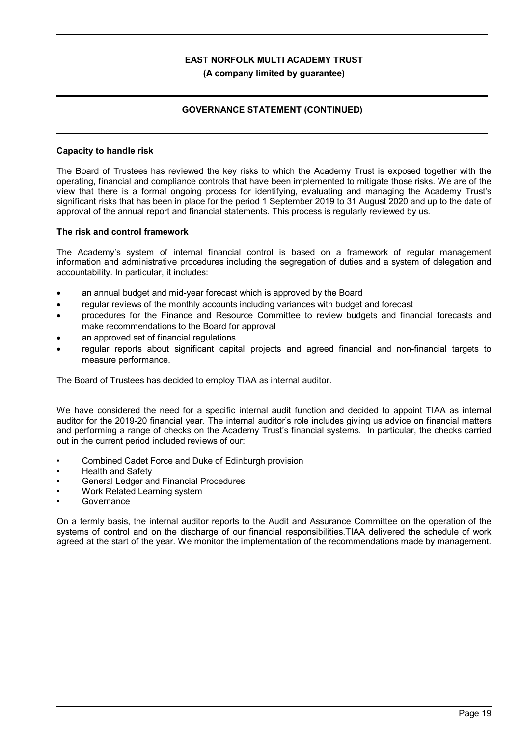### **GOVERNANCE STATEMENT (CONTINUED)**

### **Capacity to handle risk**

The Board of Trustees has reviewed the key risks to which the Academy Trust is exposed together with the operating, financial and compliance controls that have been implemented to mitigate those risks. We are of the view that there is a formal ongoing process for identifying, evaluating and managing the Academy Trust's significant risks that has been in place for the period 1 September 2019 to 31 August 2020 and up to the date of approval of the annual report and financial statements. This process is regularly reviewed by us.

### **The risk and control framework**

The Academy's system of internal financial control is based on a framework of regular management information and administrative procedures including the segregation of duties and a system of delegation and accountability. In particular, it includes:

- an annual budget and mid-year forecast which is approved by the Board
- regular reviews of the monthly accounts including variances with budget and forecast
- · procedures for the Finance and Resource Committee to review budgets and financial forecasts and make recommendations to the Board for approval
- an approved set of financial regulations
- · regular reports about significant capital projects and agreed financial and non-financial targets to measure performance.

The Board of Trustees has decided to employ TIAA as internal auditor.

We have considered the need for a specific internal audit function and decided to appoint TIAA as internal auditor for the 2019-20 financial year. The internal auditor's role includes giving us advice on financial matters and performing a range of checks on the Academy Trust's financial systems. In particular, the checks carried out in the current period included reviews of our:

- Combined Cadet Force and Duke of Edinburgh provision
- Health and Safety
- General Ledger and Financial Procedures
- Work Related Learning system
- **Governance**

On a termly basis, the internal auditor reports to the Audit and Assurance Committee on the operation of the systems of control and on the discharge of our financial responsibilities.TIAA delivered the schedule of work agreed at the start of the year. We monitor the implementation of the recommendations made by management.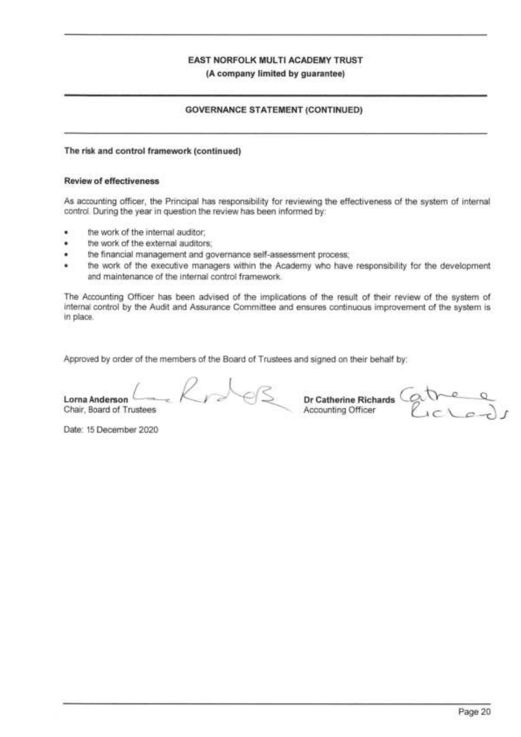### **GOVERNANCE STATEMENT (CONTINUED)**

### The risk and control framework (continued)

#### **Review of effectiveness**

As accounting officer, the Principal has responsibility for reviewing the effectiveness of the system of internal control. During the year in question the review has been informed by:

- the work of the internal auditor; ٠
- the work of the external auditors.
- the financial management and governance self-assessment process; ٠
- ٠ the work of the executive managers within the Academy who have responsibility for the development and maintenance of the internal control framework.

The Accounting Officer has been advised of the implications of the result of their review of the system of internal control by the Audit and Assurance Committee and ensures continuous improvement of the system is in place.

Approved by order of the members of the Board of Trustees and signed on their behalf by:

Lorna Anderson Chair, Board of Trustees

R De Catherine Richards Gatre Q

Date: 15 December 2020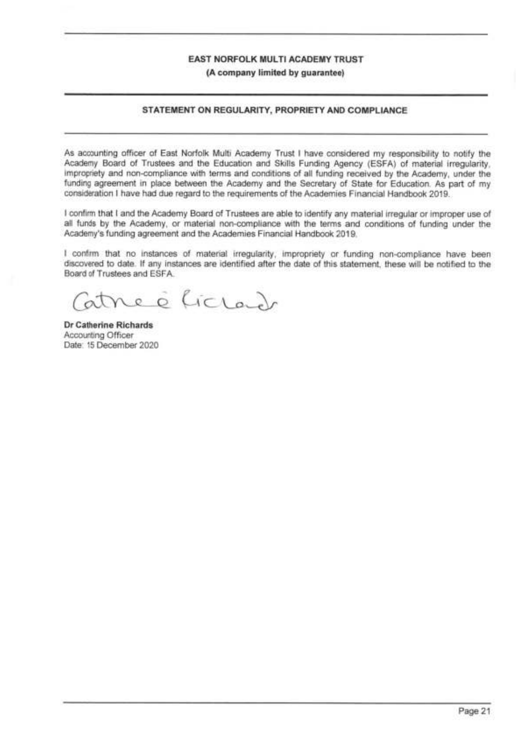### STATEMENT ON REGULARITY, PROPRIETY AND COMPLIANCE

As accounting officer of East Norfolk Multi Academy Trust I have considered my responsibility to notify the Academy Board of Trustees and the Education and Skills Funding Agency (ESFA) of material irregularity, impropriety and non-compliance with terms and conditions of all funding received by the Academy, under the funding agreement in place between the Academy and the Secretary of State for Education. As part of my consideration I have had due regard to the requirements of the Academies Financial Handbook 2019.

I confirm that I and the Academy Board of Trustees are able to identify any material irregular or improper use of all funds by the Academy, or material non-compliance with the terms and conditions of funding under the Academy's funding agreement and the Academies Financial Handbook 2019.

I confirm that no instances of material irregularity, impropriety or funding non-compliance have been discovered to date. If any instances are identified after the date of this statement, these will be notified to the Board of Trustees and ESFA.

e è liclado

Dr Catherine Richards Accounting Officer Date: 15 December 2020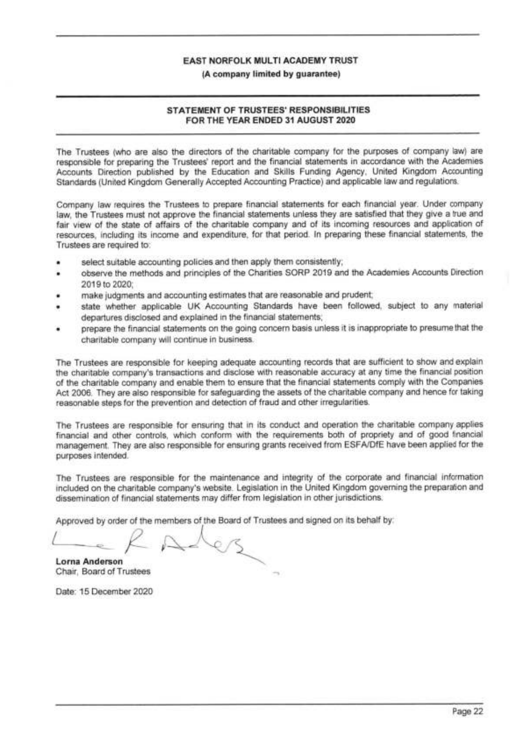### (A company limited by quarantee)

### STATEMENT OF TRUSTEES' RESPONSIBILITIES FOR THE YEAR ENDED 31 AUGUST 2020

The Trustees (who are also the directors of the charitable company for the purposes of company law) are responsible for preparing the Trustees' report and the financial statements in accordance with the Academies Accounts Direction published by the Education and Skills Funding Agency, United Kingdom Accounting Standards (United Kingdom Generally Accepted Accounting Practice) and applicable law and regulations.

Company law requires the Trustees to prepare financial statements for each financial year. Under company law, the Trustees must not approve the financial statements unless they are satisfied that they give a true and fair view of the state of affairs of the charitable company and of its incoming resources and application of resources, including its income and expenditure, for that period. In preparing these financial statements, the Trustees are required to:

- select suitable accounting policies and then apply them consistently;
- observe the methods and principles of the Charities SORP 2019 and the Academies Accounts Direction 2019 to 2020:
- make judgments and accounting estimates that are reasonable and prudent;
- state whether applicable UK Accounting Standards have been followed, subject to any material departures disclosed and explained in the financial statements;
- prepare the financial statements on the going concern basis unless it is inappropriate to presume that the charitable company will continue in business.

The Trustees are responsible for keeping adequate accounting records that are sufficient to show and explain the charitable company's transactions and disclose with reasonable accuracy at any time the financial position of the charitable company and enable them to ensure that the financial statements comply with the Companies Act 2006. They are also responsible for safeguarding the assets of the charitable company and hence for taking reasonable steps for the prevention and detection of fraud and other irregularities.

The Trustees are responsible for ensuring that in its conduct and operation the charitable company applies financial and other controls, which conform with the requirements both of propriety and of good financial management. They are also responsible for ensuring grants received from ESFA/DfE have been applied for the purposes intended.

The Trustees are responsible for the maintenance and integrity of the corporate and financial information included on the charitable company's website. Legislation in the United Kingdom governing the preparation and dissemination of financial statements may differ from legislation in other jurisdictions.

Approved by order of the members of the Board of Trustees and signed on its behalf by:

**Lorna Anderson** Chair, Board of Trustees

Date: 15 December 2020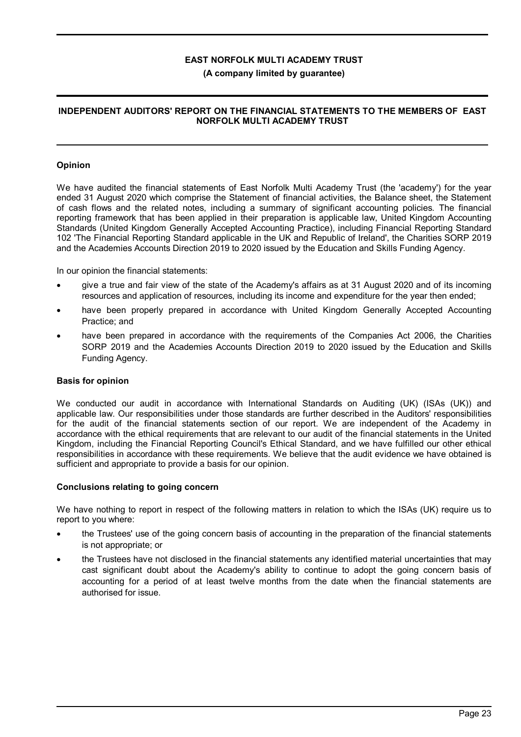### **(A company limited by guarantee)**

### **INDEPENDENT AUDITORS' REPORT ON THE FINANCIAL STATEMENTS TO THE MEMBERS OF EAST NORFOLK MULTI ACADEMY TRUST**

### **Opinion**

We have audited the financial statements of East Norfolk Multi Academy Trust (the 'academy') for the year ended 31 August 2020 which comprise the Statement of financial activities, the Balance sheet, the Statement of cash flows and the related notes, including a summary of significant accounting policies. The financial reporting framework that has been applied in their preparation is applicable law, United Kingdom Accounting Standards (United Kingdom Generally Accepted Accounting Practice), including Financial Reporting Standard 102 'The Financial Reporting Standard applicable in the UK and Republic of Ireland', the Charities SORP 2019 and the Academies Accounts Direction 2019 to 2020 issued by the Education and Skills Funding Agency.

In our opinion the financial statements:

- give a true and fair view of the state of the Academy's affairs as at 31 August 2020 and of its incoming resources and application of resources, including its income and expenditure for the year then ended;
- have been properly prepared in accordance with United Kingdom Generally Accepted Accounting Practice; and
- have been prepared in accordance with the requirements of the Companies Act 2006, the Charities SORP 2019 and the Academies Accounts Direction 2019 to 2020 issued by the Education and Skills Funding Agency.

### **Basis for opinion**

We conducted our audit in accordance with International Standards on Auditing (UK) (ISAs (UK)) and applicable law. Our responsibilities under those standards are further described in the Auditors' responsibilities for the audit of the financial statements section of our report. We are independent of the Academy in accordance with the ethical requirements that are relevant to our audit of the financial statements in the United Kingdom, including the Financial Reporting Council's Ethical Standard, and we have fulfilled our other ethical responsibilities in accordance with these requirements. We believe that the audit evidence we have obtained is sufficient and appropriate to provide a basis for our opinion.

#### **Conclusions relating to going concern**

We have nothing to report in respect of the following matters in relation to which the ISAs (UK) require us to report to you where:

- · the Trustees' use of the going concern basis of accounting in the preparation of the financial statements is not appropriate; or
- the Trustees have not disclosed in the financial statements any identified material uncertainties that may cast significant doubt about the Academy's ability to continue to adopt the going concern basis of accounting for a period of at least twelve months from the date when the financial statements are authorised for issue.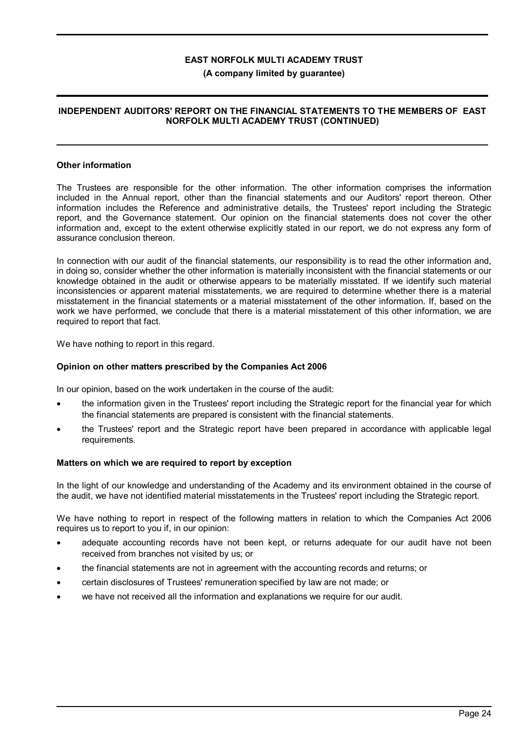### **(A company limited by guarantee)**

### **INDEPENDENT AUDITORS' REPORT ON THE FINANCIAL STATEMENTS TO THE MEMBERS OF EAST NORFOLK MULTI ACADEMY TRUST (CONTINUED)**

#### **Other information**

The Trustees are responsible for the other information. The other information comprises the information included in the Annual report, other than the financial statements and our Auditors' report thereon. Other information includes the Reference and administrative details, the Trustees' report including the Strategic report, and the Governance statement. Our opinion on the financial statements does not cover the other information and, except to the extent otherwise explicitly stated in our report, we do not express any form of assurance conclusion thereon.

In connection with our audit of the financial statements, our responsibility is to read the other information and, in doing so, consider whether the other information is materially inconsistent with the financial statements or our knowledge obtained in the audit or otherwise appears to be materially misstated. If we identify such material inconsistencies or apparent material misstatements, we are required to determine whether there is a material misstatement in the financial statements or a material misstatement of the other information. If, based on the work we have performed, we conclude that there is a material misstatement of this other information, we are required to report that fact.

We have nothing to report in this regard.

### **Opinion on other matters prescribed by the Companies Act 2006**

In our opinion, based on the work undertaken in the course of the audit:

- the information given in the Trustees' report including the Strategic report for the financial year for which the financial statements are prepared is consistent with the financial statements.
- · the Trustees' report and the Strategic report have been prepared in accordance with applicable legal requirements.

#### **Matters on which we are required to report by exception**

In the light of our knowledge and understanding of the Academy and its environment obtained in the course of the audit, we have not identified material misstatements in the Trustees' report including the Strategic report.

We have nothing to report in respect of the following matters in relation to which the Companies Act 2006 requires us to report to you if, in our opinion:

- adequate accounting records have not been kept, or returns adequate for our audit have not been received from branches not visited by us; or
- · the financial statements are not in agreement with the accounting records and returns; or
- · certain disclosures of Trustees' remuneration specified by law are not made; or
- we have not received all the information and explanations we require for our audit.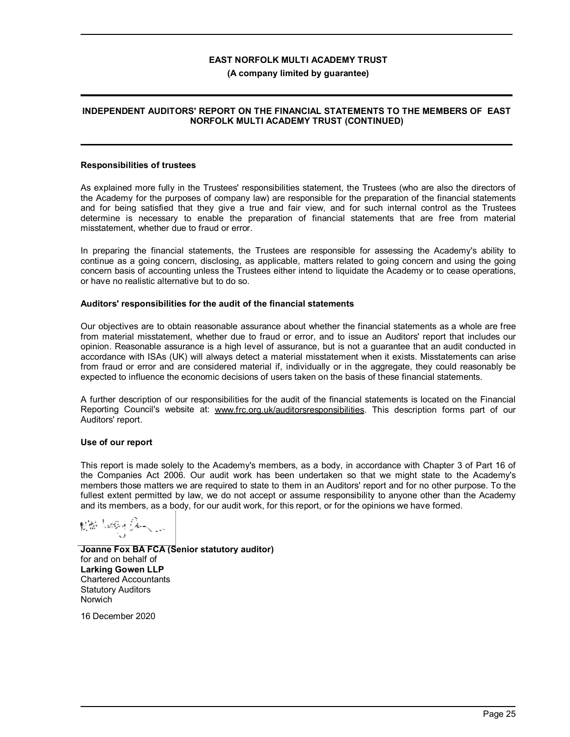#### **(A company limited by guarantee)**

#### **INDEPENDENT AUDITORS' REPORT ON THE FINANCIAL STATEMENTS TO THE MEMBERS OF EAST NORFOLK MULTI ACADEMY TRUST (CONTINUED)**

#### **Responsibilities of trustees**

As explained more fully in the Trustees' responsibilities statement, the Trustees (who are also the directors of the Academy for the purposes of company law) are responsible for the preparation of the financial statements and for being satisfied that they give a true and fair view, and for such internal control as the Trustees determine is necessary to enable the preparation of financial statements that are free from material misstatement, whether due to fraud or error.

In preparing the financial statements, the Trustees are responsible for assessing the Academy's ability to continue as a going concern, disclosing, as applicable, matters related to going concern and using the going concern basis of accounting unless the Trustees either intend to liquidate the Academy or to cease operations, or have no realistic alternative but to do so.

#### **Auditors' responsibilities for the audit of the financial statements**

Our objectives are to obtain reasonable assurance about whether the financial statements as a whole are free from material misstatement, whether due to fraud or error, and to issue an Auditors' report that includes our opinion. Reasonable assurance is a high level of assurance, but is not a guarantee that an audit conducted in accordance with ISAs (UK) will always detect a material misstatement when it exists. Misstatements can arise from fraud or error and are considered material if, individually or in the aggregate, they could reasonably be expected to influence the economic decisions of users taken on the basis of these financial statements.

A further description of our responsibilities for the audit of the financial statements is located on the Financial Reporting Council's website at: www.frc.org.uk/auditorsresponsibilities. This description forms part of our Auditors' report.

#### **Use of our report**

This report is made solely to the Academy's members, as a body, in accordance with Chapter 3 of Part 16 of the Companies Act 2006. Our audit work has been undertaken so that we might state to the Academy's members those matters we are required to state to them in an Auditors' report and for no other purpose. To the fullest extent permitted by law, we do not accept or assume responsibility to anyone other than the Academy and its members, as a body, for our audit work, for this report, or for the opinions we have formed.

Nille Lengua Armada

**Joanne Fox BA FCA (Senior statutory auditor)** for and on behalf of **Larking Gowen LLP** Chartered Accountants Statutory Auditors Norwich

16 December 2020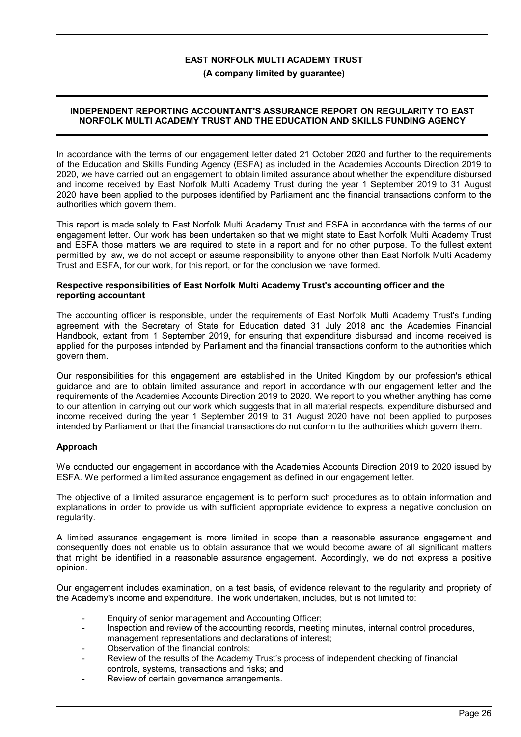**(A company limited by guarantee)**

### **INDEPENDENT REPORTING ACCOUNTANT'S ASSURANCE REPORT ON REGULARITY TO EAST NORFOLK MULTI ACADEMY TRUST AND THE EDUCATION AND SKILLS FUNDING AGENCY**

In accordance with the terms of our engagement letter dated 21 October 2020 and further to the requirements of the Education and Skills Funding Agency (ESFA) as included in the Academies Accounts Direction 2019 to 2020, we have carried out an engagement to obtain limited assurance about whether the expenditure disbursed and income received by East Norfolk Multi Academy Trust during the year 1 September 2019 to 31 August 2020 have been applied to the purposes identified by Parliament and the financial transactions conform to the authorities which govern them.

This report is made solely to East Norfolk Multi Academy Trust and ESFA in accordance with the terms of our engagement letter. Our work has been undertaken so that we might state to East Norfolk Multi Academy Trust and ESFA those matters we are required to state in a report and for no other purpose. To the fullest extent permitted by law, we do not accept or assume responsibility to anyone other than East Norfolk Multi Academy Trust and ESFA, for our work, for this report, or for the conclusion we have formed.

#### **Respective responsibilities of East Norfolk Multi Academy Trust's accounting officer and the reporting accountant**

The accounting officer is responsible, under the requirements of East Norfolk Multi Academy Trust's funding agreement with the Secretary of State for Education dated 31 July 2018 and the Academies Financial Handbook, extant from 1 September 2019, for ensuring that expenditure disbursed and income received is applied for the purposes intended by Parliament and the financial transactions conform to the authorities which govern them.

Our responsibilities for this engagement are established in the United Kingdom by our profession's ethical guidance and are to obtain limited assurance and report in accordance with our engagement letter and the requirements of the Academies Accounts Direction 2019 to 2020. We report to you whether anything has come to our attention in carrying out our work which suggests that in all material respects, expenditure disbursed and income received during the year 1 September 2019 to 31 August 2020 have not been applied to purposes intended by Parliament or that the financial transactions do not conform to the authorities which govern them.

### **Approach**

We conducted our engagement in accordance with the Academies Accounts Direction 2019 to 2020 issued by ESFA. We performed a limited assurance engagement as defined in our engagement letter.

The objective of a limited assurance engagement is to perform such procedures as to obtain information and explanations in order to provide us with sufficient appropriate evidence to express a negative conclusion on regularity.

A limited assurance engagement is more limited in scope than a reasonable assurance engagement and consequently does not enable us to obtain assurance that we would become aware of all significant matters that might be identified in a reasonable assurance engagement. Accordingly, we do not express a positive opinion.

Our engagement includes examination, on a test basis, of evidence relevant to the regularity and propriety of the Academy's income and expenditure. The work undertaken, includes, but is not limited to:

- Enquiry of senior management and Accounting Officer;
- Inspection and review of the accounting records, meeting minutes, internal control procedures, management representations and declarations of interest;
- Observation of the financial controls:
- Review of the results of the Academy Trust's process of independent checking of financial controls, systems, transactions and risks; and
- Review of certain governance arrangements.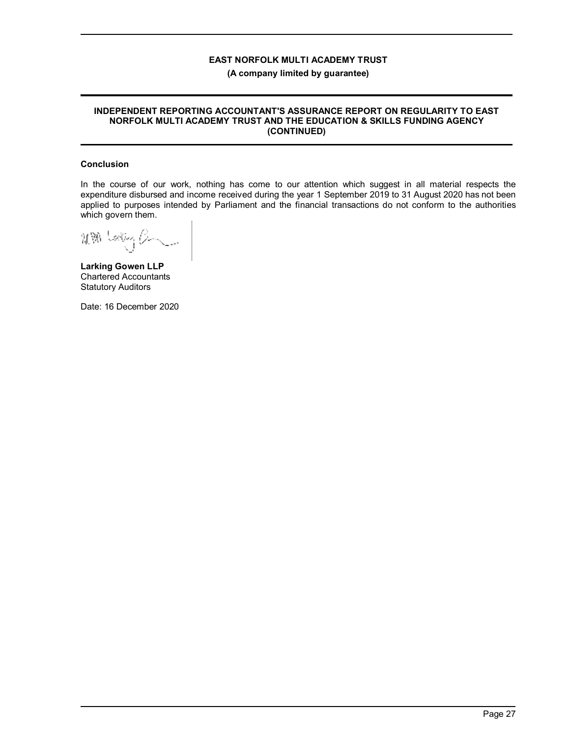#### **(A company limited by guarantee)**

#### **INDEPENDENT REPORTING ACCOUNTANT'S ASSURANCE REPORT ON REGULARITY TO EAST NORFOLK MULTI ACADEMY TRUST AND THE EDUCATION & SKILLS FUNDING AGENCY (CONTINUED)**

### **Conclusion**

In the course of our work, nothing has come to our attention which suggest in all material respects the expenditure disbursed and income received during the year 1 September 2019 to 31 August 2020 has not been applied to purposes intended by Parliament and the financial transactions do not conform to the authorities which govern them.

MM Latery B-

**Larking Gowen LLP** Chartered Accountants Statutory Auditors

Date: 16 December 2020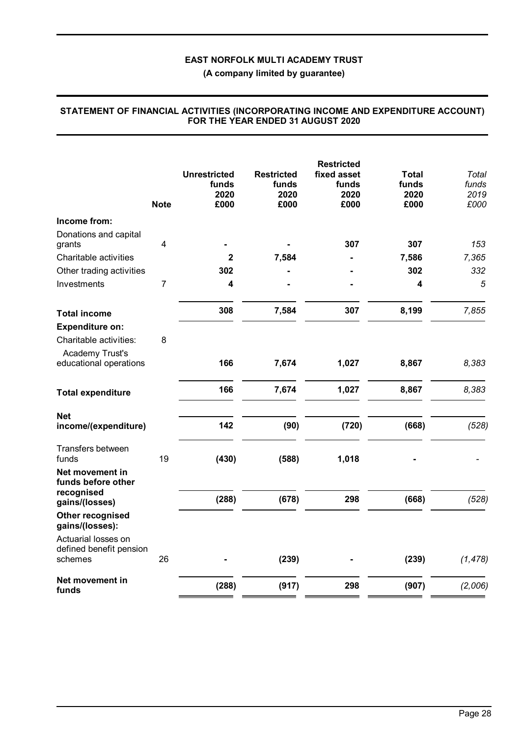**(A company limited by guarantee)**

|                                                     | <b>Note</b>    | <b>Unrestricted</b><br>funds<br>2020<br>£000 | <b>Restricted</b><br>funds<br>2020<br>£000 | <b>Restricted</b><br>fixed asset<br>funds<br>2020<br>£000 | Total<br>funds<br>2020<br>£000 | Total<br>funds<br>2019<br>£000 |
|-----------------------------------------------------|----------------|----------------------------------------------|--------------------------------------------|-----------------------------------------------------------|--------------------------------|--------------------------------|
| Income from:                                        |                |                                              |                                            |                                                           |                                |                                |
| Donations and capital                               |                |                                              |                                            |                                                           |                                |                                |
| grants                                              | 4              |                                              |                                            | 307                                                       | 307                            | 153                            |
| Charitable activities                               |                | $\mathbf{2}$                                 | 7,584                                      |                                                           | 7,586                          | 7,365                          |
| Other trading activities                            |                | 302                                          |                                            |                                                           | 302                            | 332                            |
| Investments                                         | $\overline{7}$ | $\overline{\mathbf{4}}$                      |                                            |                                                           | 4                              | 5                              |
| <b>Total income</b>                                 |                | 308                                          | 7,584                                      | 307                                                       | 8,199                          | 7,855                          |
| <b>Expenditure on:</b>                              |                |                                              |                                            |                                                           |                                |                                |
| Charitable activities:                              | 8              |                                              |                                            |                                                           |                                |                                |
| Academy Trust's<br>educational operations           |                | 166                                          | 7,674                                      | 1,027                                                     | 8,867                          | 8,383                          |
| <b>Total expenditure</b>                            |                | 166                                          | 7,674                                      | 1,027                                                     | 8,867                          | 8,383                          |
| <b>Net</b><br>income/(expenditure)                  |                | 142                                          | (90)                                       | (720)                                                     | (668)                          | (528)                          |
| Transfers between<br>funds                          | 19             | (430)                                        | (588)                                      | 1,018                                                     |                                |                                |
| Net movement in<br>funds before other<br>recognised |                |                                              |                                            |                                                           |                                |                                |
| gains/(losses)                                      |                | (288)                                        | (678)                                      | 298                                                       | (668)                          | (528)                          |
| Other recognised<br>gains/(losses):                 |                |                                              |                                            |                                                           |                                |                                |
| Actuarial losses on                                 |                |                                              |                                            |                                                           |                                |                                |
| defined benefit pension<br>schemes                  | 26             |                                              | (239)                                      |                                                           | (239)                          | (1, 478)                       |
| Net movement in<br>funds                            |                | (288)                                        | (917)                                      | 298                                                       | (907)                          | (2,006)                        |

### **STATEMENT OF FINANCIAL ACTIVITIES (INCORPORATING INCOME AND EXPENDITURE ACCOUNT) FOR THE YEAR ENDED 31 AUGUST 2020**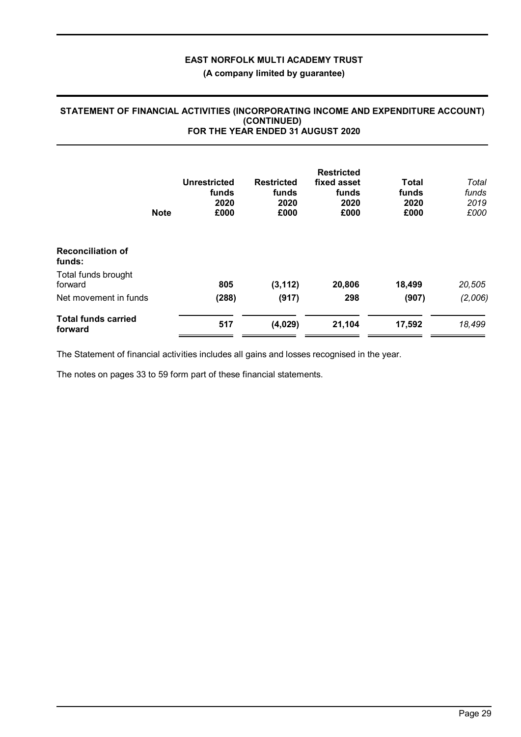## **(A company limited by guarantee)**

### **STATEMENT OF FINANCIAL ACTIVITIES (INCORPORATING INCOME AND EXPENDITURE ACCOUNT) (CONTINUED) FOR THE YEAR ENDED 31 AUGUST 2020**

|                                       | <b>Note</b> | Unrestricted<br>funds<br>2020<br>£000 | <b>Restricted</b><br>funds<br>2020<br>£000 | <b>Restricted</b><br>fixed asset<br>funds<br>2020<br>£000 | <b>Total</b><br>funds<br>2020<br>£000 | Total<br>funds<br>2019<br>£000 |
|---------------------------------------|-------------|---------------------------------------|--------------------------------------------|-----------------------------------------------------------|---------------------------------------|--------------------------------|
| <b>Reconciliation of</b><br>funds:    |             |                                       |                                            |                                                           |                                       |                                |
| Total funds brought<br>forward        |             | 805                                   | (3, 112)                                   | 20,806                                                    | 18,499                                | 20,505                         |
| Net movement in funds                 |             | (288)                                 | (917)                                      | 298                                                       | (907)                                 | (2,006)                        |
| <b>Total funds carried</b><br>forward |             | 517                                   | (4,029)                                    | 21,104                                                    | 17,592                                | 18,499                         |

The Statement of financial activities includes all gains and losses recognised in the year.

The notes on pages 33 to 59 form part of these financial statements.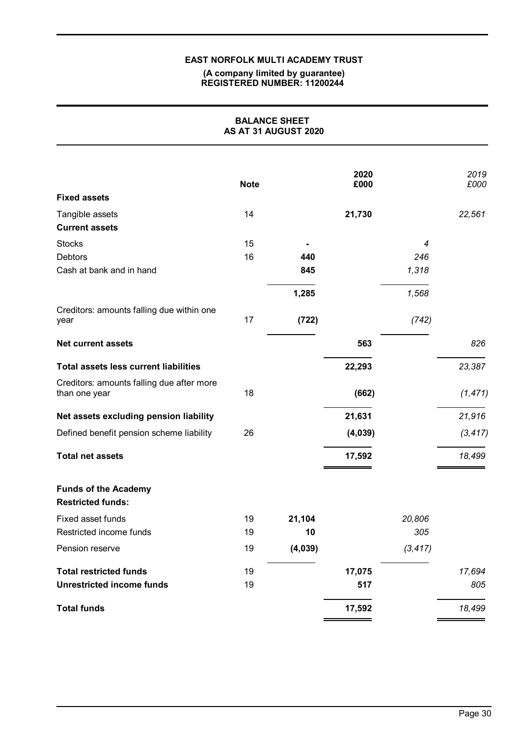### **(A company limited by guarantee) REGISTERED NUMBER: 11200244**

| <b>BALANCE SHEET</b><br>AS AT 31 AUGUST 2020               |             |         |              |          |              |
|------------------------------------------------------------|-------------|---------|--------------|----------|--------------|
| <b>Fixed assets</b>                                        | <b>Note</b> |         | 2020<br>£000 |          | 2019<br>£000 |
|                                                            |             |         |              |          |              |
| Tangible assets<br><b>Current assets</b>                   | 14          |         | 21,730       |          | 22,561       |
| <b>Stocks</b>                                              | 15          |         |              | 4        |              |
| <b>Debtors</b>                                             | 16          | 440     |              | 246      |              |
| Cash at bank and in hand                                   |             | 845     |              | 1,318    |              |
|                                                            |             | 1,285   |              | 1,568    |              |
| Creditors: amounts falling due within one<br>year          | 17          | (722)   |              | (742)    |              |
| <b>Net current assets</b>                                  |             |         | 563          |          | 826          |
| <b>Total assets less current liabilities</b>               |             |         | 22,293       |          | 23,387       |
| Creditors: amounts falling due after more<br>than one year | 18          |         | (662)        |          | (1, 471)     |
| Net assets excluding pension liability                     |             |         | 21,631       |          | 21,916       |
| Defined benefit pension scheme liability                   | 26          |         | (4,039)      |          | (3, 417)     |
| <b>Total net assets</b>                                    |             |         | 17,592       |          | 18,499       |
| <b>Funds of the Academy</b><br><b>Restricted funds:</b>    |             |         |              |          |              |
| Fixed asset funds                                          | 19          | 21,104  |              | 20,806   |              |
| Restricted income funds                                    | 19          | 10      |              | 305      |              |
| Pension reserve                                            | 19          | (4,039) |              | (3, 417) |              |
| <b>Total restricted funds</b>                              | 19          |         | 17,075       |          | 17,694       |
| <b>Unrestricted income funds</b>                           | 19          |         | 517          |          | 805          |
| <b>Total funds</b>                                         |             |         | 17,592       |          | 18,499       |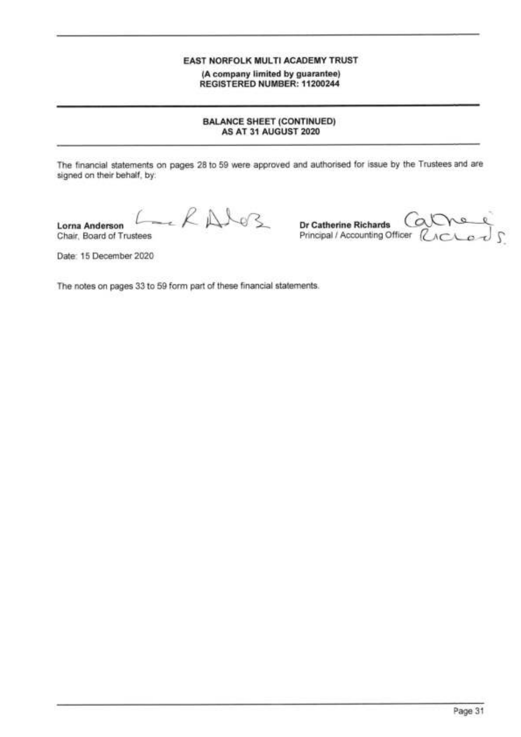(A company limited by guarantee) REGISTERED NUMBER: 11200244

### **BALANCE SHEET (CONTINUED)** AS AT 31 AUGUST 2020

The financial statements on pages 28 to 59 were approved and authorised for issue by the Trustees and are signed on their behalf, by:

RAIGZ **Lorna Anderson** Chair, Board of Trustees

Dr Catherine Richards  $Q_{ACLO}$ Principal / Accounting Officer

Date: 15 December 2020

The notes on pages 33 to 59 form part of these financial statements.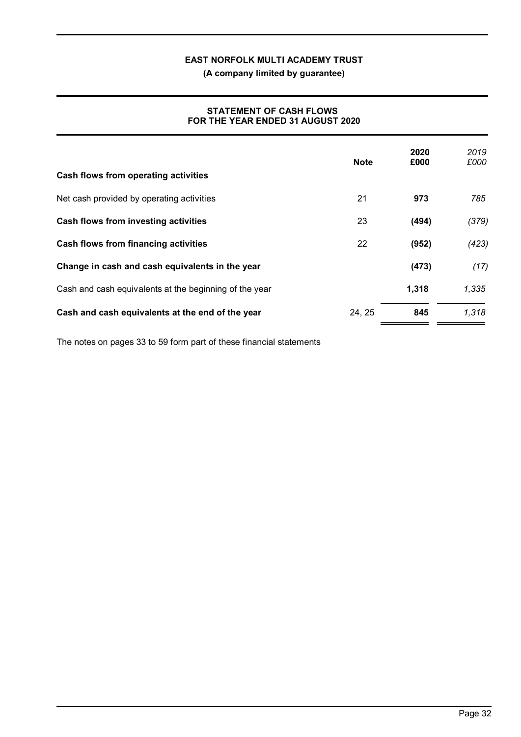**(A company limited by guarantee)**

### **STATEMENT OF CASH FLOWS FOR THE YEAR ENDED 31 AUGUST 2020**

|                                                        | <b>Note</b> | 2020<br>£000 | 2019<br>£000 |
|--------------------------------------------------------|-------------|--------------|--------------|
| Cash flows from operating activities                   |             |              |              |
| Net cash provided by operating activities              | 21          | 973          | 785          |
| Cash flows from investing activities                   | 23          | (494)        | (379)        |
| Cash flows from financing activities                   | 22          | (952)        | (423)        |
| Change in cash and cash equivalents in the year        |             | (473)        | (17)         |
| Cash and cash equivalents at the beginning of the year |             | 1,318        | 1,335        |
| Cash and cash equivalents at the end of the year       | 24, 25      | 845          | 1,318        |

The notes on pages 33 to 59 form part of these financial statements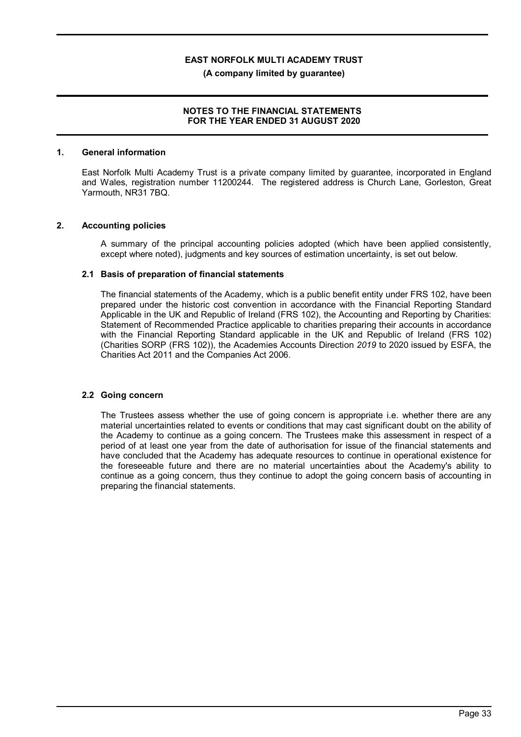**(A company limited by guarantee)**

### **NOTES TO THE FINANCIAL STATEMENTS FOR THE YEAR ENDED 31 AUGUST 2020**

### **1. General information**

East Norfolk Multi Academy Trust is a private company limited by guarantee, incorporated in England and Wales, registration number 11200244. The registered address is Church Lane, Gorleston, Great Yarmouth, NR31 7BQ.

### **2. Accounting policies**

A summary of the principal accounting policies adopted (which have been applied consistently, except where noted), judgments and key sources of estimation uncertainty, is set out below.

### **2.1 Basis of preparation of financial statements**

The financial statements of the Academy, which is a public benefit entity under FRS 102, have been prepared under the historic cost convention in accordance with the Financial Reporting Standard Applicable in the UK and Republic of Ireland (FRS 102), the Accounting and Reporting by Charities: Statement of Recommended Practice applicable to charities preparing their accounts in accordance with the Financial Reporting Standard applicable in the UK and Republic of Ireland (FRS 102) (Charities SORP (FRS 102)), the Academies Accounts Direction *2019* to 2020 issued by ESFA, the Charities Act 2011 and the Companies Act 2006.

### **2.2 Going concern**

The Trustees assess whether the use of going concern is appropriate i.e. whether there are any material uncertainties related to events or conditions that may cast significant doubt on the ability of the Academy to continue as a going concern. The Trustees make this assessment in respect of a period of at least one year from the date of authorisation for issue of the financial statements and have concluded that the Academy has adequate resources to continue in operational existence for the foreseeable future and there are no material uncertainties about the Academy's ability to continue as a going concern, thus they continue to adopt the going concern basis of accounting in preparing the financial statements.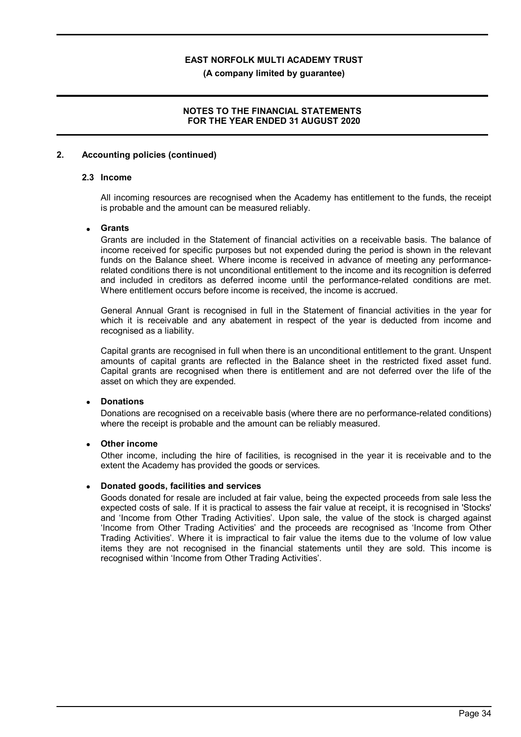**(A company limited by guarantee)**

### **NOTES TO THE FINANCIAL STATEMENTS FOR THE YEAR ENDED 31 AUGUST 2020**

### **2. Accounting policies (continued)**

### **2.3 Income**

All incoming resources are recognised when the Academy has entitlement to the funds, the receipt is probable and the amount can be measured reliably.

### · **Grants**

Grants are included in the Statement of financial activities on a receivable basis. The balance of income received for specific purposes but not expended during the period is shown in the relevant funds on the Balance sheet. Where income is received in advance of meeting any performancerelated conditions there is not unconditional entitlement to the income and its recognition is deferred and included in creditors as deferred income until the performance-related conditions are met. Where entitlement occurs before income is received, the income is accrued.

General Annual Grant is recognised in full in the Statement of financial activities in the year for which it is receivable and any abatement in respect of the year is deducted from income and recognised as a liability.

Capital grants are recognised in full when there is an unconditional entitlement to the grant. Unspent amounts of capital grants are reflected in the Balance sheet in the restricted fixed asset fund. Capital grants are recognised when there is entitlement and are not deferred over the life of the asset on which they are expended.

### · **Donations**

Donations are recognised on a receivable basis (where there are no performance-related conditions) where the receipt is probable and the amount can be reliably measured.

### **Other income**

Other income, including the hire of facilities, is recognised in the year it is receivable and to the extent the Academy has provided the goods or services.

### · **Donated goods, facilities and services**

Goods donated for resale are included at fair value, being the expected proceeds from sale less the expected costs of sale. If it is practical to assess the fair value at receipt, it is recognised in 'Stocks' and 'Income from Other Trading Activities'. Upon sale, the value of the stock is charged against 'Income from Other Trading Activities' and the proceeds are recognised as 'Income from Other Trading Activities'. Where it is impractical to fair value the items due to the volume of low value items they are not recognised in the financial statements until they are sold. This income is recognised within 'Income from Other Trading Activities'.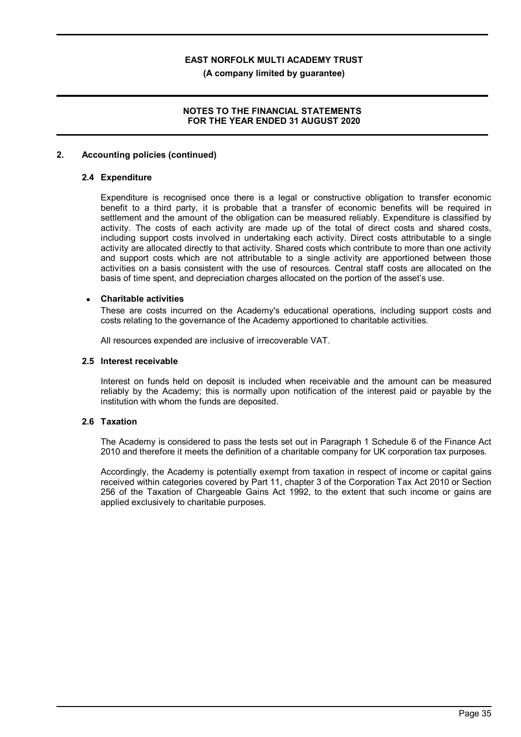**(A company limited by guarantee)**

### **NOTES TO THE FINANCIAL STATEMENTS FOR THE YEAR ENDED 31 AUGUST 2020**

### **2. Accounting policies (continued)**

### **2.4 Expenditure**

Expenditure is recognised once there is a legal or constructive obligation to transfer economic benefit to a third party, it is probable that a transfer of economic benefits will be required in settlement and the amount of the obligation can be measured reliably. Expenditure is classified by activity. The costs of each activity are made up of the total of direct costs and shared costs, including support costs involved in undertaking each activity. Direct costs attributable to a single activity are allocated directly to that activity. Shared costs which contribute to more than one activity and support costs which are not attributable to a single activity are apportioned between those activities on a basis consistent with the use of resources. Central staff costs are allocated on the basis of time spent, and depreciation charges allocated on the portion of the asset's use.

### · **Charitable activities**

These are costs incurred on the Academy's educational operations, including support costs and costs relating to the governance of the Academy apportioned to charitable activities.

All resources expended are inclusive of irrecoverable VAT.

#### **2.5 Interest receivable**

Interest on funds held on deposit is included when receivable and the amount can be measured reliably by the Academy; this is normally upon notification of the interest paid or payable by the institution with whom the funds are deposited.

### **2.6 Taxation**

The Academy is considered to pass the tests set out in Paragraph 1 Schedule 6 of the Finance Act 2010 and therefore it meets the definition of a charitable company for UK corporation tax purposes.

Accordingly, the Academy is potentially exempt from taxation in respect of income or capital gains received within categories covered by Part 11, chapter 3 of the Corporation Tax Act 2010 or Section 256 of the Taxation of Chargeable Gains Act 1992, to the extent that such income or gains are applied exclusively to charitable purposes.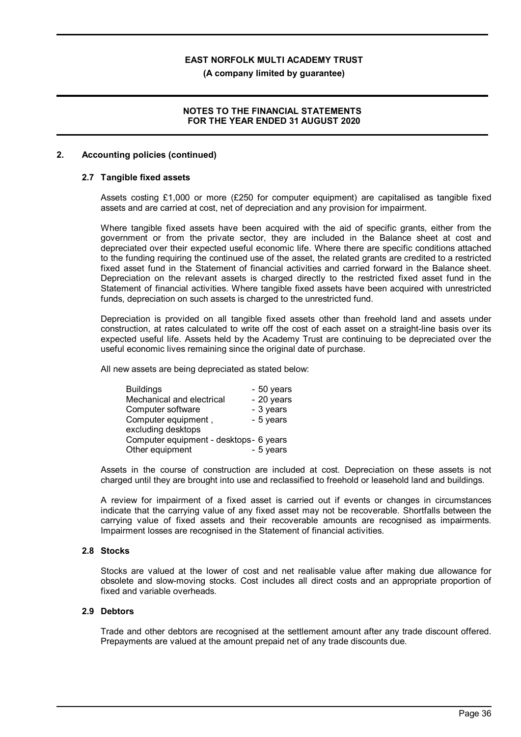**(A company limited by guarantee)**

### **NOTES TO THE FINANCIAL STATEMENTS FOR THE YEAR ENDED 31 AUGUST 2020**

### **2. Accounting policies (continued)**

### **2.7 Tangible fixed assets**

Assets costing £1,000 or more (£250 for computer equipment) are capitalised as tangible fixed assets and are carried at cost, net of depreciation and any provision for impairment.

Where tangible fixed assets have been acquired with the aid of specific grants, either from the government or from the private sector, they are included in the Balance sheet at cost and depreciated over their expected useful economic life. Where there are specific conditions attached to the funding requiring the continued use of the asset, the related grants are credited to a restricted fixed asset fund in the Statement of financial activities and carried forward in the Balance sheet. Depreciation on the relevant assets is charged directly to the restricted fixed asset fund in the Statement of financial activities. Where tangible fixed assets have been acquired with unrestricted funds, depreciation on such assets is charged to the unrestricted fund.

Depreciation is provided on all tangible fixed assets other than freehold land and assets under construction, at rates calculated to write off the cost of each asset on a straight-line basis over its expected useful life. Assets held by the Academy Trust are continuing to be depreciated over the useful economic lives remaining since the original date of purchase.

All new assets are being depreciated as stated below:

| <b>Buildings</b>                        | - 50 years |
|-----------------------------------------|------------|
| Mechanical and electrical               | - 20 years |
| Computer software                       | - 3 years  |
| Computer equipment,                     | - 5 years  |
| excluding desktops                      |            |
| Computer equipment - desktops - 6 years |            |
| Other equipment                         | - 5 years  |

Assets in the course of construction are included at cost. Depreciation on these assets is not charged until they are brought into use and reclassified to freehold or leasehold land and buildings.

A review for impairment of a fixed asset is carried out if events or changes in circumstances indicate that the carrying value of any fixed asset may not be recoverable. Shortfalls between the carrying value of fixed assets and their recoverable amounts are recognised as impairments. Impairment losses are recognised in the Statement of financial activities.

#### **2.8 Stocks**

Stocks are valued at the lower of cost and net realisable value after making due allowance for obsolete and slow-moving stocks. Cost includes all direct costs and an appropriate proportion of fixed and variable overheads.

### **2.9 Debtors**

Trade and other debtors are recognised at the settlement amount after any trade discount offered. Prepayments are valued at the amount prepaid net of any trade discounts due.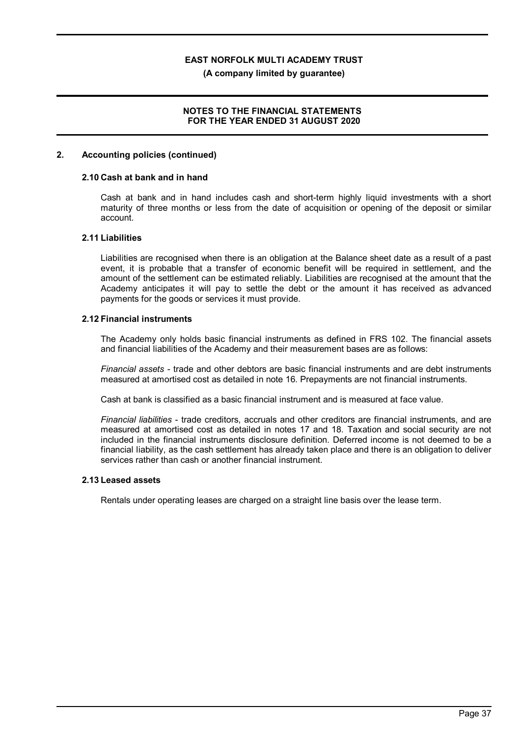**(A company limited by guarantee)**

### **NOTES TO THE FINANCIAL STATEMENTS FOR THE YEAR ENDED 31 AUGUST 2020**

### **2. Accounting policies (continued)**

### **2.10 Cash at bank and in hand**

Cash at bank and in hand includes cash and short-term highly liquid investments with a short maturity of three months or less from the date of acquisition or opening of the deposit or similar account.

### **2.11 Liabilities**

Liabilities are recognised when there is an obligation at the Balance sheet date as a result of a past event, it is probable that a transfer of economic benefit will be required in settlement, and the amount of the settlement can be estimated reliably. Liabilities are recognised at the amount that the Academy anticipates it will pay to settle the debt or the amount it has received as advanced payments for the goods or services it must provide.

#### **2.12 Financial instruments**

The Academy only holds basic financial instruments as defined in FRS 102. The financial assets and financial liabilities of the Academy and their measurement bases are as follows:

*Financial assets* - trade and other debtors are basic financial instruments and are debt instruments measured at amortised cost as detailed in note 16. Prepayments are not financial instruments.

Cash at bank is classified as a basic financial instrument and is measured at face value.

*Financial liabilities* - trade creditors, accruals and other creditors are financial instruments, and are measured at amortised cost as detailed in notes 17 and 18. Taxation and social security are not included in the financial instruments disclosure definition. Deferred income is not deemed to be a financial liability, as the cash settlement has already taken place and there is an obligation to deliver services rather than cash or another financial instrument.

#### **2.13 Leased assets**

Rentals under operating leases are charged on a straight line basis over the lease term.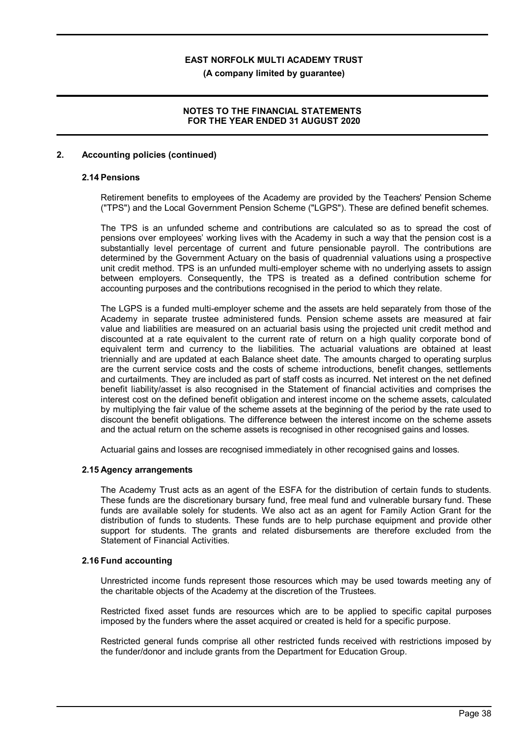**(A company limited by guarantee)**

### **NOTES TO THE FINANCIAL STATEMENTS FOR THE YEAR ENDED 31 AUGUST 2020**

### **2. Accounting policies (continued)**

### **2.14 Pensions**

Retirement benefits to employees of the Academy are provided by the Teachers' Pension Scheme ("TPS") and the Local Government Pension Scheme ("LGPS"). These are defined benefit schemes.

The TPS is an unfunded scheme and contributions are calculated so as to spread the cost of pensions over employees' working lives with the Academy in such a way that the pension cost is a substantially level percentage of current and future pensionable payroll. The contributions are determined by the Government Actuary on the basis of quadrennial valuations using a prospective unit credit method. TPS is an unfunded multi-employer scheme with no underlying assets to assign between employers. Consequently, the TPS is treated as a defined contribution scheme for accounting purposes and the contributions recognised in the period to which they relate.

The LGPS is a funded multi-employer scheme and the assets are held separately from those of the Academy in separate trustee administered funds. Pension scheme assets are measured at fair value and liabilities are measured on an actuarial basis using the projected unit credit method and discounted at a rate equivalent to the current rate of return on a high quality corporate bond of equivalent term and currency to the liabilities. The actuarial valuations are obtained at least triennially and are updated at each Balance sheet date. The amounts charged to operating surplus are the current service costs and the costs of scheme introductions, benefit changes, settlements and curtailments. They are included as part of staff costs as incurred. Net interest on the net defined benefit liability/asset is also recognised in the Statement of financial activities and comprises the interest cost on the defined benefit obligation and interest income on the scheme assets, calculated by multiplying the fair value of the scheme assets at the beginning of the period by the rate used to discount the benefit obligations. The difference between the interest income on the scheme assets and the actual return on the scheme assets is recognised in other recognised gains and losses.

Actuarial gains and losses are recognised immediately in other recognised gains and losses.

### **2.15 Agency arrangements**

The Academy Trust acts as an agent of the ESFA for the distribution of certain funds to students. These funds are the discretionary bursary fund, free meal fund and vulnerable bursary fund. These funds are available solely for students. We also act as an agent for Family Action Grant for the distribution of funds to students. These funds are to help purchase equipment and provide other support for students. The grants and related disbursements are therefore excluded from the Statement of Financial Activities.

#### **2.16 Fund accounting**

Unrestricted income funds represent those resources which may be used towards meeting any of the charitable objects of the Academy at the discretion of the Trustees.

Restricted fixed asset funds are resources which are to be applied to specific capital purposes imposed by the funders where the asset acquired or created is held for a specific purpose.

Restricted general funds comprise all other restricted funds received with restrictions imposed by the funder/donor and include grants from the Department for Education Group.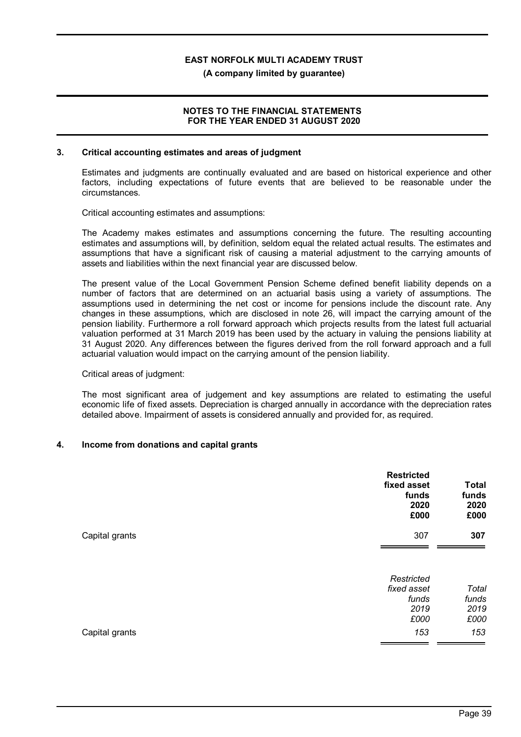**(A company limited by guarantee)**

### **NOTES TO THE FINANCIAL STATEMENTS FOR THE YEAR ENDED 31 AUGUST 2020**

### **3. Critical accounting estimates and areas of judgment**

Estimates and judgments are continually evaluated and are based on historical experience and other factors, including expectations of future events that are believed to be reasonable under the circumstances.

Critical accounting estimates and assumptions:

The Academy makes estimates and assumptions concerning the future. The resulting accounting estimates and assumptions will, by definition, seldom equal the related actual results. The estimates and assumptions that have a significant risk of causing a material adjustment to the carrying amounts of assets and liabilities within the next financial year are discussed below.

The present value of the Local Government Pension Scheme defined benefit liability depends on a number of factors that are determined on an actuarial basis using a variety of assumptions. The assumptions used in determining the net cost or income for pensions include the discount rate. Any changes in these assumptions, which are disclosed in note 26, will impact the carrying amount of the pension liability. Furthermore a roll forward approach which projects results from the latest full actuarial valuation performed at 31 March 2019 has been used by the actuary in valuing the pensions liability at 31 August 2020. Any differences between the figures derived from the roll forward approach and a full actuarial valuation would impact on the carrying amount of the pension liability.

#### Critical areas of judgment:

The most significant area of judgement and key assumptions are related to estimating the useful economic life of fixed assets. Depreciation is charged annually in accordance with the depreciation rates detailed above. Impairment of assets is considered annually and provided for, as required.

### **4. Income from donations and capital grants**

|                | <b>Restricted</b><br>fixed asset<br>funds<br>2020<br>£000 | <b>Total</b><br>funds<br>2020<br>£000 |
|----------------|-----------------------------------------------------------|---------------------------------------|
| Capital grants | 307                                                       | 307                                   |
|                | Restricted<br>fixed asset<br>funds<br>2019                | Total<br>funds<br>2019                |
| Capital grants | £000<br>153                                               | £000<br>153                           |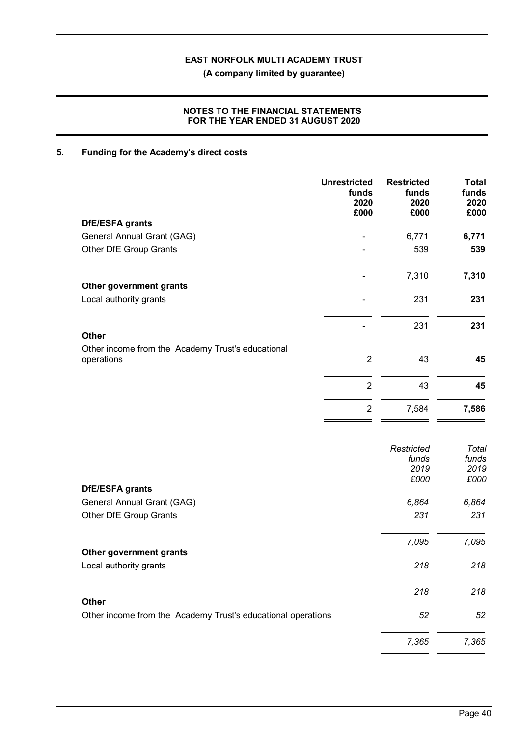**(A company limited by guarantee)**

### **NOTES TO THE FINANCIAL STATEMENTS FOR THE YEAR ENDED 31 AUGUST 2020**

## **5. Funding for the Academy's direct costs**

|                                                                 | <b>Unrestricted</b><br>funds<br>2020<br>£000 | <b>Restricted</b><br>funds<br>2020<br>£000 | <b>Total</b><br>funds<br>2020<br>£000 |
|-----------------------------------------------------------------|----------------------------------------------|--------------------------------------------|---------------------------------------|
| DfE/ESFA grants                                                 |                                              |                                            |                                       |
| General Annual Grant (GAG)                                      |                                              | 6,771                                      | 6,771                                 |
| Other DfE Group Grants                                          |                                              | 539                                        | 539                                   |
|                                                                 |                                              | 7,310                                      | 7,310                                 |
| Other government grants                                         |                                              |                                            |                                       |
| Local authority grants                                          |                                              | 231                                        | 231                                   |
|                                                                 |                                              | 231                                        | 231                                   |
| <b>Other</b>                                                    |                                              |                                            |                                       |
| Other income from the Academy Trust's educational<br>operations | $\overline{2}$                               | 43                                         | 45                                    |
|                                                                 | $\overline{2}$                               | 43                                         | 45                                    |
|                                                                 | $\overline{2}$                               | 7,584                                      | 7,586                                 |
|                                                                 |                                              |                                            |                                       |
|                                                                 |                                              | Restricted                                 | Total                                 |
|                                                                 |                                              | funds                                      | funds                                 |
|                                                                 |                                              | 2019                                       | 2019                                  |
| <b>DfE/ESFA grants</b>                                          |                                              | £000                                       | £000                                  |
| General Annual Grant (GAG)                                      |                                              | 6,864                                      | 6,864                                 |
| Other DfE Group Grants                                          |                                              | 231                                        | 231                                   |
|                                                                 |                                              | 7,095                                      | 7,095                                 |
| Other government grants                                         |                                              |                                            |                                       |
| Local authority grants                                          |                                              | 218                                        | 218                                   |
| <b>Other</b>                                                    |                                              | 218                                        | 218                                   |
| Other income from the Academy Trust's educational operations    |                                              | 52                                         | 52                                    |
|                                                                 |                                              | 7,365                                      | 7,365                                 |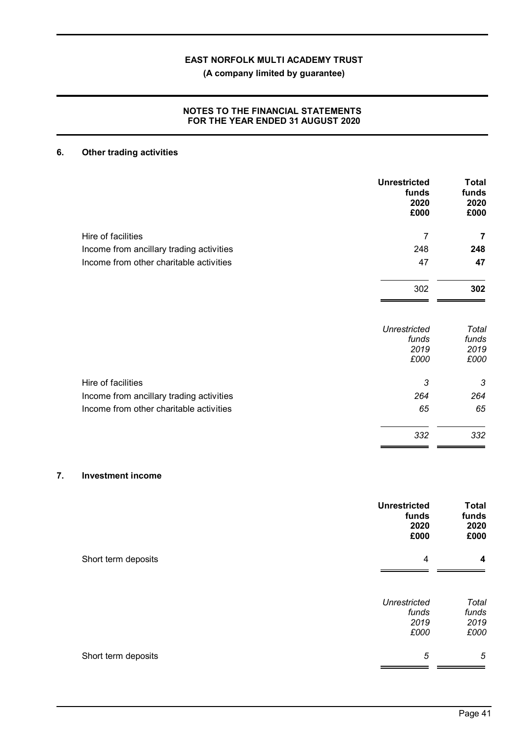**(A company limited by guarantee)**

### **NOTES TO THE FINANCIAL STATEMENTS FOR THE YEAR ENDED 31 AUGUST 2020**

## **6. Other trading activities**

|                                          | <b>Unrestricted</b><br>funds<br>2020<br>£000 | <b>Total</b><br>funds<br>2020<br>£000 |
|------------------------------------------|----------------------------------------------|---------------------------------------|
| Hire of facilities                       | $\overline{7}$                               | 7                                     |
| Income from ancillary trading activities | 248                                          | 248                                   |
| Income from other charitable activities  | 47                                           | 47                                    |
|                                          | 302                                          | 302                                   |
|                                          | <b>Unrestricted</b>                          | Total                                 |
|                                          | funds<br>2019                                | funds<br>2019                         |
|                                          | £000                                         | £000                                  |
| Hire of facilities                       | 3                                            | 3                                     |
| Income from ancillary trading activities | 264                                          | 264                                   |
| Income from other charitable activities  | 65                                           | 65                                    |
|                                          | 332                                          | 332                                   |

### **7. Investment income**

|                     | <b>Unrestricted</b><br>funds<br>2020<br>£000 | <b>Total</b><br>funds<br>2020<br>£000 |
|---------------------|----------------------------------------------|---------------------------------------|
| Short term deposits | 4                                            | 4                                     |
|                     | <b>Unrestricted</b><br>funds<br>2019<br>£000 | Total<br>funds<br>2019<br>£000        |
| Short term deposits | 5                                            | 5                                     |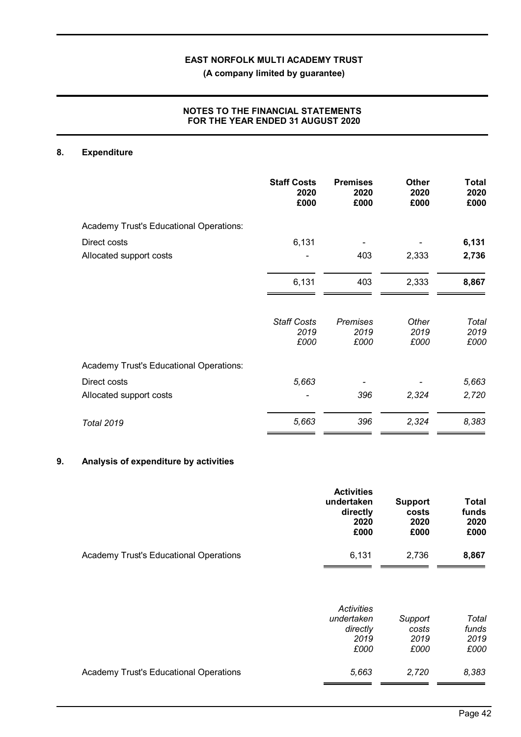**(A company limited by guarantee)**

### **NOTES TO THE FINANCIAL STATEMENTS FOR THE YEAR ENDED 31 AUGUST 2020**

### **8. Expenditure**

|                                         | <b>Staff Costs</b><br>2020<br>£000 | <b>Premises</b><br>2020<br>£000 | <b>Other</b><br>2020<br>£000 | Total<br>2020<br>£000 |
|-----------------------------------------|------------------------------------|---------------------------------|------------------------------|-----------------------|
| Academy Trust's Educational Operations: |                                    |                                 |                              |                       |
| Direct costs                            | 6,131                              |                                 |                              | 6,131                 |
| Allocated support costs                 |                                    | 403                             | 2,333                        | 2,736                 |
|                                         | 6,131                              | 403                             | 2,333                        | 8,867                 |
|                                         | <b>Staff Costs</b><br>2019<br>£000 | <b>Premises</b><br>2019<br>£000 | Other<br>2019<br>£000        | Total<br>2019<br>£000 |
| Academy Trust's Educational Operations: |                                    |                                 |                              |                       |
| Direct costs                            | 5,663                              |                                 |                              | 5,663                 |
| Allocated support costs                 |                                    | 396                             | 2,324                        | 2,720                 |
| <b>Total 2019</b>                       | 5,663                              | 396                             | 2,324                        | 8,383                 |

## **9. Analysis of expenditure by activities**

|                                               | <b>Activities</b><br>undertaken<br>directly<br>2020<br>£000 | Support<br>costs<br>2020<br>£000 | <b>Total</b><br>funds<br>2020<br>£000 |
|-----------------------------------------------|-------------------------------------------------------------|----------------------------------|---------------------------------------|
| <b>Academy Trust's Educational Operations</b> | 6.131                                                       | 2.736                            | 8,867                                 |

|                                        | <b>Activities</b><br>undertaken<br>directly<br>2019 | Support<br>costs<br>2019 | Total<br>funds<br>2019 |
|----------------------------------------|-----------------------------------------------------|--------------------------|------------------------|
|                                        | £000                                                | £000                     | £000                   |
| Academy Trust's Educational Operations | 5,663                                               | 2,720                    | 8,383                  |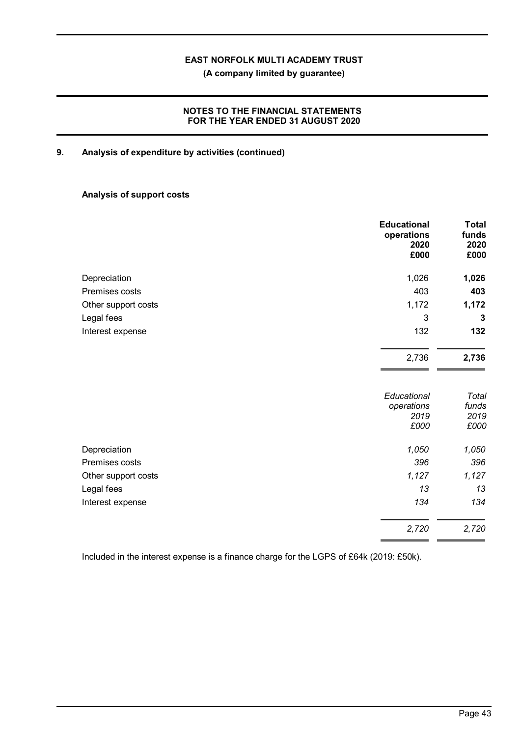**(A company limited by guarantee)**

### **NOTES TO THE FINANCIAL STATEMENTS FOR THE YEAR ENDED 31 AUGUST 2020**

### **9. Analysis of expenditure by activities (continued)**

### **Analysis of support costs**

|                     | <b>Educational</b><br>operations<br>2020<br>£000 | <b>Total</b><br>funds<br>2020<br>£000 |
|---------------------|--------------------------------------------------|---------------------------------------|
| Depreciation        | 1,026                                            | 1,026                                 |
| Premises costs      | 403                                              | 403                                   |
| Other support costs | 1,172                                            | 1,172                                 |
| Legal fees          | 3                                                | 3                                     |
| Interest expense    | 132                                              | 132                                   |
|                     | 2,736                                            | 2,736                                 |
|                     | Educational<br>operations<br>2019<br>£000        | Total<br>funds<br>2019<br>£000        |
| Depreciation        | 1,050                                            | 1,050                                 |
| Premises costs      | 396                                              | 396                                   |
| Other support costs | 1,127                                            | 1,127                                 |
| Legal fees          | 13                                               | 13                                    |
| Interest expense    | 134                                              | 134                                   |
|                     | 2,720                                            | 2,720                                 |

Included in the interest expense is a finance charge for the LGPS of £64k (2019: £50k).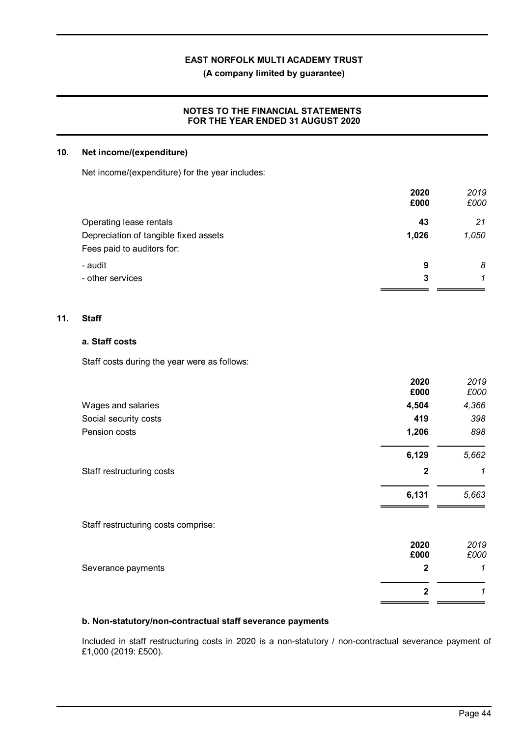**(A company limited by guarantee)**

### **NOTES TO THE FINANCIAL STATEMENTS FOR THE YEAR ENDED 31 AUGUST 2020**

### **10. Net income/(expenditure)**

Net income/(expenditure) for the year includes:

|                                       | 2020  | 2019  |
|---------------------------------------|-------|-------|
|                                       | £000  | £000  |
| Operating lease rentals               | 43    | 21    |
| Depreciation of tangible fixed assets | 1,026 | 1,050 |
| Fees paid to auditors for:            |       |       |
| - audit                               | 9     | 8     |
| - other services                      | 3     | 1     |
|                                       |       |       |

### **11. Staff**

### **a. Staff costs**

Staff costs during the year were as follows:

|                                     | 2020<br>£000 | 2019<br>£000 |
|-------------------------------------|--------------|--------------|
| Wages and salaries                  | 4,504        | 4,366        |
| Social security costs               | 419          | 398          |
| Pension costs                       | 1,206        | 898          |
|                                     | 6,129        | 5,662        |
| Staff restructuring costs           | $\mathbf{2}$ | 1            |
|                                     | 6,131        | 5,663        |
| Staff restructuring costs comprise: |              |              |
|                                     | 2020<br>£000 | 2019<br>£000 |
| Severance payments                  | 2            | 1            |
|                                     | $\mathbf{2}$ | 1            |
|                                     |              |              |

### **b. Non-statutory/non-contractual staff severance payments**

Included in staff restructuring costs in 2020 is a non-statutory / non-contractual severance payment of £1,000 (2019: £500).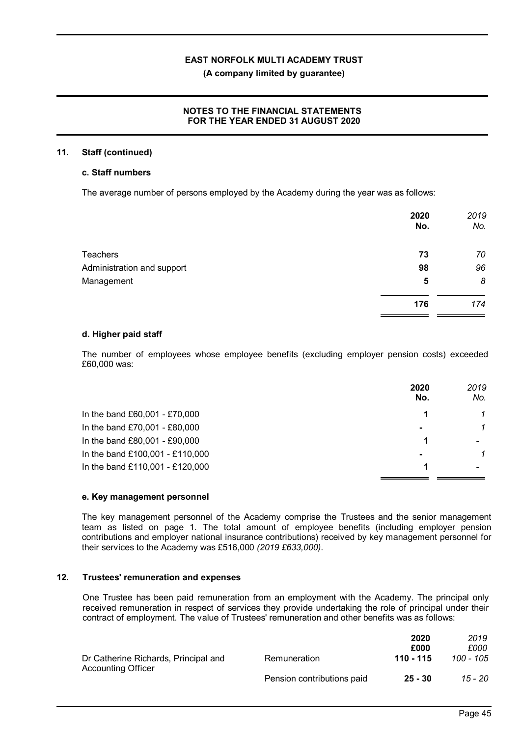### **(A company limited by guarantee)**

### **NOTES TO THE FINANCIAL STATEMENTS FOR THE YEAR ENDED 31 AUGUST 2020**

### **11. Staff (continued)**

### **c. Staff numbers**

The average number of persons employed by the Academy during the year was as follows:

|                            | 2020<br>No. | 2019<br>No. |
|----------------------------|-------------|-------------|
| <b>Teachers</b>            | 73          | 70          |
| Administration and support | 98          | 96          |
| Management                 | 5           | 8           |
|                            | 176         | 174         |

### **d. Higher paid staff**

The number of employees whose employee benefits (excluding employer pension costs) exceeded £60,000 was:

|                                 | 2020<br>No. | 2019<br>No. |
|---------------------------------|-------------|-------------|
| In the band £60,001 - £70,000   |             |             |
| In the band £70,001 - £80,000   |             |             |
| In the band £80,001 - £90,000   |             |             |
| In the band £100,001 - £110,000 |             | 1           |
| In the band £110,001 - £120,000 |             |             |

### **e. Key management personnel**

The key management personnel of the Academy comprise the Trustees and the senior management team as listed on page 1. The total amount of employee benefits (including employer pension contributions and employer national insurance contributions) received by key management personnel for their services to the Academy was £516,000 *(2019 £633,000)*.

### **12. Trustees' remuneration and expenses**

One Trustee has been paid remuneration from an employment with the Academy. The principal only received remuneration in respect of services they provide undertaking the role of principal under their contract of employment. The value of Trustees' remuneration and other benefits was as follows:

|                                      |                            | 2020<br>£000 | 2019<br>£000 |
|--------------------------------------|----------------------------|--------------|--------------|
| Dr Catherine Richards, Principal and | Remuneration               | 110 - 115    | 100 - 105    |
| <b>Accounting Officer</b>            | Pension contributions paid | 25 - 30      | 15 - 20      |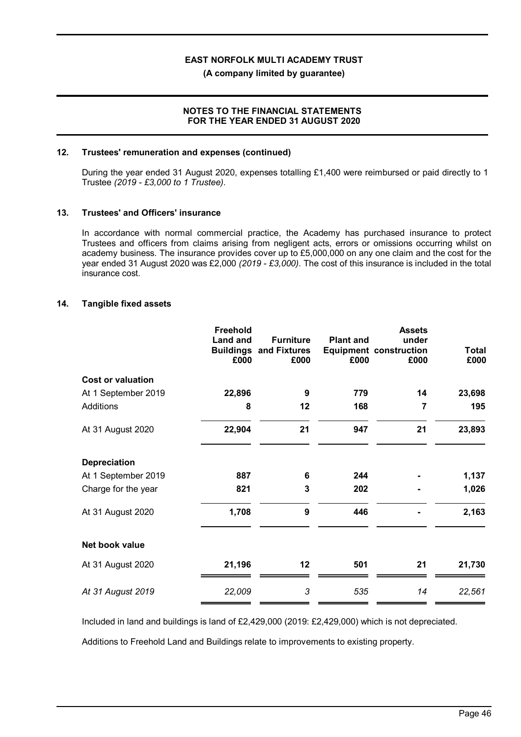**(A company limited by guarantee)**

### **NOTES TO THE FINANCIAL STATEMENTS FOR THE YEAR ENDED 31 AUGUST 2020**

### **12. Trustees' remuneration and expenses (continued)**

During the year ended 31 August 2020, expenses totalling £1,400 were reimbursed or paid directly to 1 Trustee *(2019 - £3,000 to 1 Trustee)*.

### **13. Trustees' and Officers' insurance**

In accordance with normal commercial practice, the Academy has purchased insurance to protect Trustees and officers from claims arising from negligent acts, errors or omissions occurring whilst on academy business. The insurance provides cover up to £5,000,000 on any one claim and the cost for the year ended 31 August 2020 was £2,000 *(2019 - £3,000)*. The cost of this insurance is included in the total insurance cost.

### **14. Tangible fixed assets**

|                          | Freehold<br><b>Land and</b><br>£000 | <b>Furniture</b><br><b>Buildings and Fixtures</b><br>£000 | <b>Plant and</b><br>£000 | <b>Assets</b><br>under<br><b>Equipment construction</b><br>£000 | <b>Total</b><br>£000 |
|--------------------------|-------------------------------------|-----------------------------------------------------------|--------------------------|-----------------------------------------------------------------|----------------------|
| <b>Cost or valuation</b> |                                     |                                                           |                          |                                                                 |                      |
| At 1 September 2019      | 22,896                              | 9                                                         | 779                      | 14                                                              | 23,698               |
| <b>Additions</b>         | 8                                   | 12                                                        | 168                      | 7                                                               | 195                  |
| At 31 August 2020        | 22,904                              | 21                                                        | 947                      | 21                                                              | 23,893               |
| <b>Depreciation</b>      |                                     |                                                           |                          |                                                                 |                      |
| At 1 September 2019      | 887                                 | 6                                                         | 244                      |                                                                 | 1,137                |
| Charge for the year      | 821                                 | 3                                                         | 202                      |                                                                 | 1,026                |
| At 31 August 2020        | 1,708                               | 9                                                         | 446                      |                                                                 | 2,163                |
| Net book value           |                                     |                                                           |                          |                                                                 |                      |
| At 31 August 2020        | 21,196                              | 12                                                        | 501                      | 21                                                              | 21,730               |
| At 31 August 2019        | 22,009                              | 3                                                         | 535                      | 14                                                              | 22,561               |

Included in land and buildings is land of £2,429,000 (2019: £2,429,000) which is not depreciated.

Additions to Freehold Land and Buildings relate to improvements to existing property.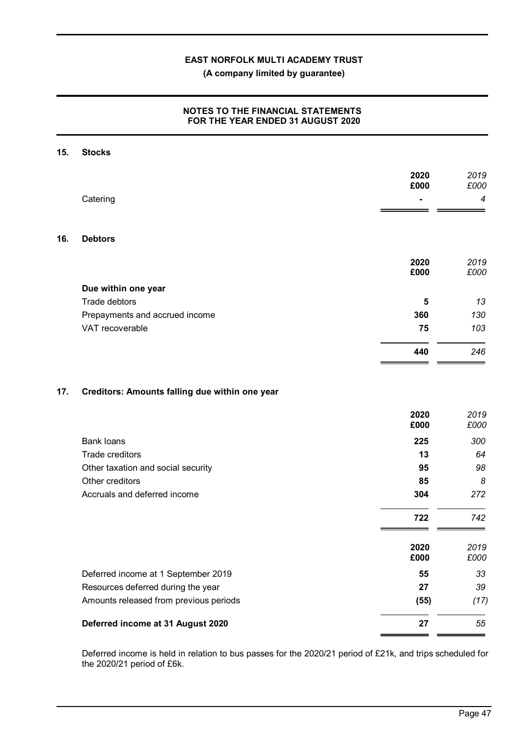**(A company limited by guarantee)**

### **NOTES TO THE FINANCIAL STATEMENTS FOR THE YEAR ENDED 31 AUGUST 2020**

| 15. | <b>Stocks</b>                                         |              |              |
|-----|-------------------------------------------------------|--------------|--------------|
|     |                                                       | 2020<br>£000 | 2019<br>£000 |
|     | Catering                                              |              | 4            |
| 16. | <b>Debtors</b>                                        |              |              |
|     |                                                       | 2020<br>£000 | 2019<br>£000 |
|     | Due within one year                                   |              |              |
|     | Trade debtors                                         | 5            | 13           |
|     | Prepayments and accrued income                        | 360          | 130          |
|     | VAT recoverable                                       | 75           | 103          |
|     |                                                       | 440          | 246          |
| 17. | Creditors: Amounts falling due within one year        | 2020<br>£000 | 2019<br>£000 |
|     |                                                       |              |              |
|     | <b>Bank loans</b>                                     | 225          | 300          |
|     | Trade creditors                                       | 13           | 64<br>98     |
|     | Other taxation and social security<br>Other creditors | 95<br>85     | 8            |
|     | Accruals and deferred income                          | 304          | 272          |
|     |                                                       | 722          | 742          |
|     |                                                       |              |              |
|     |                                                       | 2020<br>£000 | 2019<br>£000 |
|     | Deferred income at 1 September 2019                   | 55           | 33           |
|     | Resources deferred during the year                    | 27           | 39           |
|     | Amounts released from previous periods                | (55)         | (17)         |
|     | Deferred income at 31 August 2020                     | 27           | 55           |

Deferred income is held in relation to bus passes for the 2020/21 period of £21k, and trips scheduled for the 2020/21 period of £6k.

 $\mathcal{L}_{\mathcal{A}}$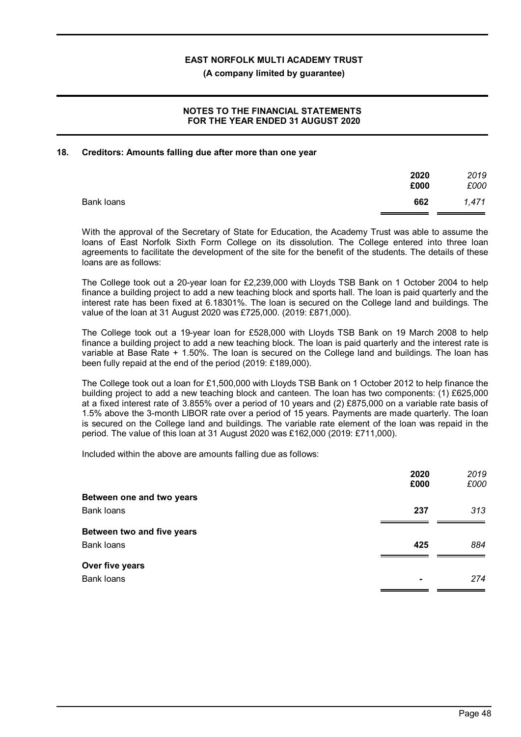**(A company limited by guarantee)**

### **NOTES TO THE FINANCIAL STATEMENTS FOR THE YEAR ENDED 31 AUGUST 2020**

### **18. Creditors: Amounts falling due after more than one year**

|            | 2020<br>£000 | 2019<br>£000 |
|------------|--------------|--------------|
| Bank loans | 662          | 1,471        |

With the approval of the Secretary of State for Education, the Academy Trust was able to assume the loans of East Norfolk Sixth Form College on its dissolution. The College entered into three loan agreements to facilitate the development of the site for the benefit of the students. The details of these loans are as follows:

The College took out a 20-year loan for £2,239,000 with Lloyds TSB Bank on 1 October 2004 to help finance a building project to add a new teaching block and sports hall. The loan is paid quarterly and the interest rate has been fixed at 6.18301%. The loan is secured on the College land and buildings. The value of the loan at 31 August 2020 was £725,000. (2019: £871,000).

The College took out a 19-year loan for £528,000 with Lloyds TSB Bank on 19 March 2008 to help finance a building project to add a new teaching block. The loan is paid quarterly and the interest rate is variable at Base Rate + 1.50%. The loan is secured on the College land and buildings. The loan has been fully repaid at the end of the period (2019: £189,000).

The College took out a loan for £1,500,000 with Lloyds TSB Bank on 1 October 2012 to help finance the building project to add a new teaching block and canteen. The loan has two components: (1) £625,000 at a fixed interest rate of 3.855% over a period of 10 years and (2) £875,000 on a variable rate basis of 1.5% above the 3-month LlBOR rate over a period of 15 years. Payments are made quarterly. The loan is secured on the College land and buildings. The variable rate element of the loan was repaid in the period. The value of this loan at 31 August 2020 was £162,000 (2019: £711,000).

Included within the above are amounts falling due as follows:

|                            | 2020<br>£000   | 2019<br>£000 |
|----------------------------|----------------|--------------|
| Between one and two years  |                |              |
| Bank loans                 | 237            | 313          |
| Between two and five years |                |              |
| Bank loans                 | 425            | 884          |
| Over five years            |                |              |
| Bank loans                 | $\blacksquare$ | 274          |
|                            |                |              |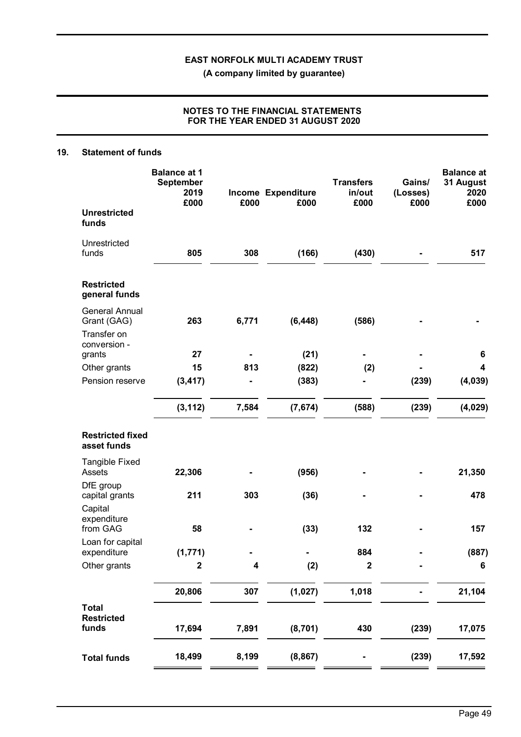**(A company limited by guarantee)**

### **NOTES TO THE FINANCIAL STATEMENTS FOR THE YEAR ENDED 31 AUGUST 2020**

### **19. Statement of funds**

|                                                                     | <b>Balance at 1</b><br><b>September</b><br>2019<br>£000 | £000  | Income Expenditure<br>£000 | <b>Transfers</b><br>in/out<br>£000 | Gains/<br>(Losses)<br>£000 | <b>Balance at</b><br>31 August<br>2020<br>£000 |
|---------------------------------------------------------------------|---------------------------------------------------------|-------|----------------------------|------------------------------------|----------------------------|------------------------------------------------|
| <b>Unrestricted</b><br>funds                                        |                                                         |       |                            |                                    |                            |                                                |
| Unrestricted<br>funds                                               | 805                                                     | 308   | (166)                      | (430)                              |                            | 517                                            |
| <b>Restricted</b><br>general funds                                  |                                                         |       |                            |                                    |                            |                                                |
| <b>General Annual</b><br>Grant (GAG)<br>Transfer on<br>conversion - | 263                                                     | 6,771 | (6, 448)                   | (586)                              |                            |                                                |
| grants                                                              | 27                                                      |       | (21)                       |                                    |                            | 6                                              |
| Other grants                                                        | 15                                                      | 813   | (822)                      | (2)                                |                            | 4                                              |
| Pension reserve                                                     | (3, 417)                                                |       | (383)                      |                                    | (239)                      | (4,039)                                        |
|                                                                     | (3, 112)                                                | 7,584 | (7,674)                    | (588)                              | (239)                      | (4,029)                                        |
| <b>Restricted fixed</b><br>asset funds                              |                                                         |       |                            |                                    |                            |                                                |
| <b>Tangible Fixed</b><br>Assets                                     | 22,306                                                  |       | (956)                      |                                    |                            | 21,350                                         |
| DfE group<br>capital grants                                         | 211                                                     | 303   | (36)                       |                                    |                            | 478                                            |
| Capital<br>expenditure<br>from GAG                                  | 58                                                      |       | (33)                       | 132                                |                            | 157                                            |
| Loan for capital<br>expenditure                                     | (1, 771)                                                |       |                            | 884                                |                            | (887)                                          |
| Other grants                                                        | $\mathbf 2$                                             | 4     | (2)                        | $\mathbf 2$                        |                            | $6\phantom{1}6$                                |
|                                                                     | 20,806                                                  | 307   | (1, 027)                   | 1,018                              |                            | 21,104                                         |
| <b>Total</b>                                                        |                                                         |       |                            |                                    |                            |                                                |
| <b>Restricted</b><br>funds                                          | 17,694                                                  | 7,891 | (8,701)                    | 430                                | (239)                      | 17,075                                         |
| <b>Total funds</b>                                                  | 18,499                                                  | 8,199 | (8, 867)                   |                                    | (239)                      | 17,592                                         |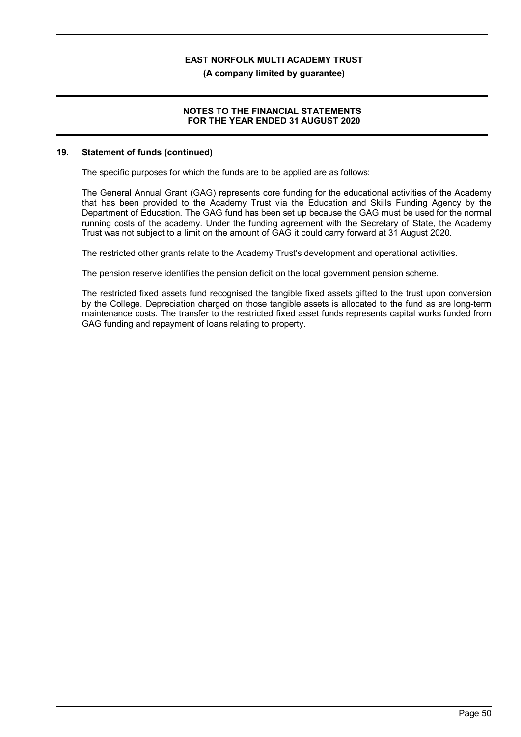**(A company limited by guarantee)**

### **NOTES TO THE FINANCIAL STATEMENTS FOR THE YEAR ENDED 31 AUGUST 2020**

### **19. Statement of funds (continued)**

The specific purposes for which the funds are to be applied are as follows:

The General Annual Grant (GAG) represents core funding for the educational activities of the Academy that has been provided to the Academy Trust via the Education and Skills Funding Agency by the Department of Education. The GAG fund has been set up because the GAG must be used for the normal running costs of the academy. Under the funding agreement with the Secretary of State, the Academy Trust was not subject to a limit on the amount of GAG it could carry forward at 31 August 2020.

The restricted other grants relate to the Academy Trust's development and operational activities.

The pension reserve identifies the pension deficit on the local government pension scheme.

The restricted fixed assets fund recognised the tangible fixed assets gifted to the trust upon conversion by the College. Depreciation charged on those tangible assets is allocated to the fund as are long-term maintenance costs. The transfer to the restricted fixed asset funds represents capital works funded from GAG funding and repayment of loans relating to property.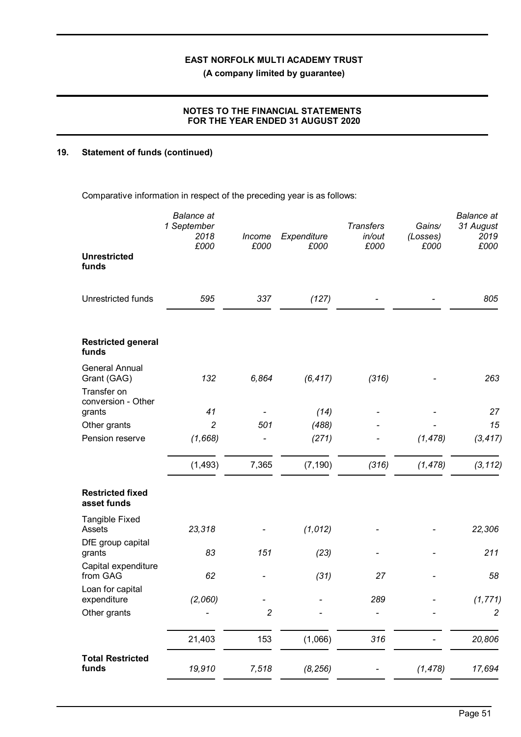**(A company limited by guarantee)**

### **NOTES TO THE FINANCIAL STATEMENTS FOR THE YEAR ENDED 31 AUGUST 2020**

### **19. Statement of funds (continued)**

Comparative information in respect of the preceding year is as follows:

|                                        | <b>Balance</b> at<br>1 September<br>2018<br>£000 | Income<br>£000 | Expenditure<br>£000 | <b>Transfers</b><br>in/out<br>£000 | Gains/<br>(Losses)<br>£000 | <b>Balance</b> at<br>31 August<br>2019<br>£000 |
|----------------------------------------|--------------------------------------------------|----------------|---------------------|------------------------------------|----------------------------|------------------------------------------------|
| <b>Unrestricted</b><br>funds           |                                                  |                |                     |                                    |                            |                                                |
| Unrestricted funds                     | 595                                              | 337            | (127)               |                                    |                            | 805                                            |
| <b>Restricted general</b><br>funds     |                                                  |                |                     |                                    |                            |                                                |
| <b>General Annual</b><br>Grant (GAG)   | 132                                              | 6,864          | (6, 417)            | (316)                              |                            | 263                                            |
| Transfer on<br>conversion - Other      |                                                  |                |                     |                                    |                            |                                                |
| grants                                 | 41                                               |                | (14)                |                                    |                            | 27                                             |
| Other grants                           | $\overline{c}$                                   | 501            | (488)               |                                    |                            | 15                                             |
| Pension reserve                        | (1,668)                                          |                | (271)               |                                    | (1, 478)                   | (3, 417)                                       |
|                                        | (1, 493)                                         | 7,365          | (7, 190)            | (316)                              | (1, 478)                   | (3, 112)                                       |
| <b>Restricted fixed</b><br>asset funds |                                                  |                |                     |                                    |                            |                                                |
| <b>Tangible Fixed</b><br>Assets        | 23,318                                           |                | (1,012)             |                                    |                            | 22,306                                         |
| DfE group capital<br>grants            | 83                                               | 151            | (23)                |                                    |                            | 211                                            |
| Capital expenditure<br>from GAG        | 62                                               |                | (31)                | 27                                 |                            | 58                                             |
| Loan for capital<br>expenditure        | (2,060)                                          |                |                     | 289                                |                            | (1, 771)                                       |
| Other grants                           |                                                  | $\sqrt{2}$     |                     |                                    |                            | $\overline{c}$                                 |
|                                        | 21,403                                           | 153            | (1,066)             | 316                                |                            | 20,806                                         |
| <b>Total Restricted</b><br>funds       | 19,910                                           | 7,518          | (8, 256)            |                                    | (1, 478)                   | 17,694                                         |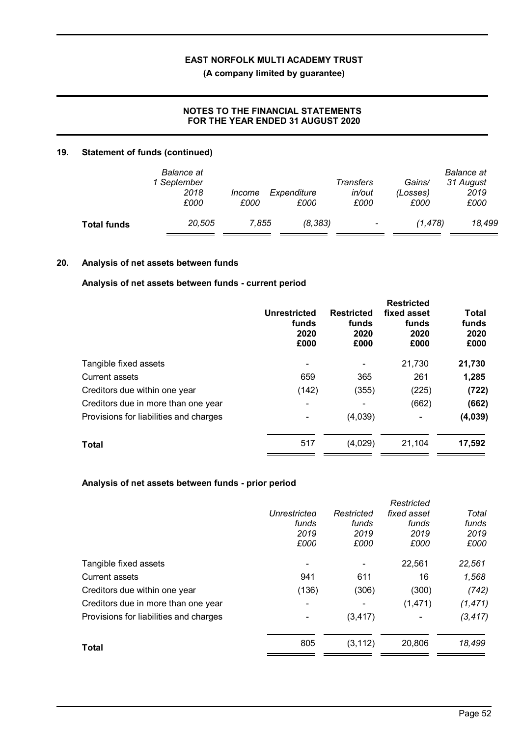**(A company limited by guarantee)**

### **NOTES TO THE FINANCIAL STATEMENTS FOR THE YEAR ENDED 31 AUGUST 2020**

### **19. Statement of funds (continued)**

|                    | Balance at<br>1 September<br>2018<br>£000 | <i>Income</i><br>£000 | Expenditure<br>£000 | Transfers<br>in/out<br>£000 | Gains/<br>(Losses)<br>£000 | <b>Balance</b> at<br>31 August<br>2019<br>£000 |
|--------------------|-------------------------------------------|-----------------------|---------------------|-----------------------------|----------------------------|------------------------------------------------|
| <b>Total funds</b> | 20.505                                    | 7.855                 | (8, 383)            | $\overline{\phantom{a}}$    | (1.478)                    | 18,499                                         |

### **20. Analysis of net assets between funds**

### **Analysis of net assets between funds - current period**

|                                        | Unrestricted<br>funds<br>2020<br>£000 | <b>Restricted</b><br>funds<br>2020<br>£000 | <b>Restricted</b><br>fixed asset<br>funds<br>2020<br>£000 | <b>Total</b><br>funds<br>2020<br>£000 |
|----------------------------------------|---------------------------------------|--------------------------------------------|-----------------------------------------------------------|---------------------------------------|
| Tangible fixed assets                  |                                       |                                            | 21,730                                                    | 21,730                                |
| <b>Current assets</b>                  | 659                                   | 365                                        | 261                                                       | 1,285                                 |
| Creditors due within one year          | (142)                                 | (355)                                      | (225)                                                     | (722)                                 |
| Creditors due in more than one year    |                                       |                                            | (662)                                                     | (662)                                 |
| Provisions for liabilities and charges |                                       | (4,039)                                    |                                                           | (4,039)                               |
| <b>Total</b>                           | 517                                   | (4,029)                                    | 21,104                                                    | 17,592                                |

### **Analysis of net assets between funds - prior period**

|                                        | Unrestricted<br>funds<br>2019<br>£000 | Restricted<br>funds<br>2019<br>£000 | Restricted<br>fixed asset<br>funds<br>2019<br>£000 | Total<br>funds<br>2019<br>£000 |
|----------------------------------------|---------------------------------------|-------------------------------------|----------------------------------------------------|--------------------------------|
| Tangible fixed assets                  |                                       |                                     | 22,561                                             | 22,561                         |
| <b>Current assets</b>                  | 941                                   | 611                                 | 16                                                 | 1,568                          |
| Creditors due within one year          | (136)                                 | (306)                               | (300)                                              | (742)                          |
| Creditors due in more than one year    |                                       |                                     | (1, 471)                                           | (1, 471)                       |
| Provisions for liabilities and charges |                                       | (3, 417)                            |                                                    | (3, 417)                       |
| Total                                  | 805                                   | (3, 112)                            | 20,806                                             | 18,499                         |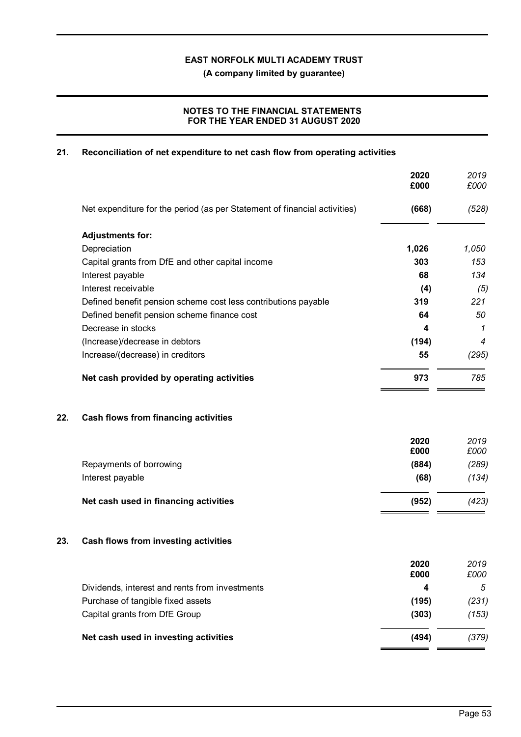**(A company limited by guarantee)**

### **NOTES TO THE FINANCIAL STATEMENTS FOR THE YEAR ENDED 31 AUGUST 2020**

### **21. Reconciliation of net expenditure to net cash flow from operating activities**

|     |                                                                           | 2020<br>£000 | 2019<br>£000   |
|-----|---------------------------------------------------------------------------|--------------|----------------|
|     | Net expenditure for the period (as per Statement of financial activities) | (668)        | (528)          |
|     | <b>Adjustments for:</b>                                                   |              |                |
|     | Depreciation                                                              | 1,026        | 1,050          |
|     | Capital grants from DfE and other capital income                          | 303          | 153            |
|     | Interest payable                                                          | 68           | 134            |
|     | Interest receivable                                                       | (4)          | (5)            |
|     | Defined benefit pension scheme cost less contributions payable            | 319          | 221            |
|     | Defined benefit pension scheme finance cost                               | 64           | 50             |
|     | Decrease in stocks                                                        | 4            | 1              |
|     | (Increase)/decrease in debtors                                            | (194)        | $\overline{4}$ |
|     | Increase/(decrease) in creditors                                          | 55           | (295)          |
|     | Net cash provided by operating activities                                 | 973          | 785            |
| 22. | <b>Cash flows from financing activities</b>                               |              |                |
|     |                                                                           | 2020<br>£000 | 2019<br>£000   |
|     | Repayments of borrowing                                                   | (884)        | (289)          |
|     | Interest payable                                                          | (68)         | (134)          |
|     | Net cash used in financing activities                                     | (952)        | (423)          |
| 23. | Cash flows from investing activities                                      |              |                |
|     |                                                                           | 2020<br>£000 | 2019<br>£000   |
|     | Dividends, interest and rents from investments                            | 4            | 5              |
|     | Purchase of tangible fixed assets                                         | (195)        | (231)          |
|     | Capital grants from DfE Group                                             | (303)        | (153)          |
|     | Net cash used in investing activities                                     | (494)        | (379)          |
|     |                                                                           |              |                |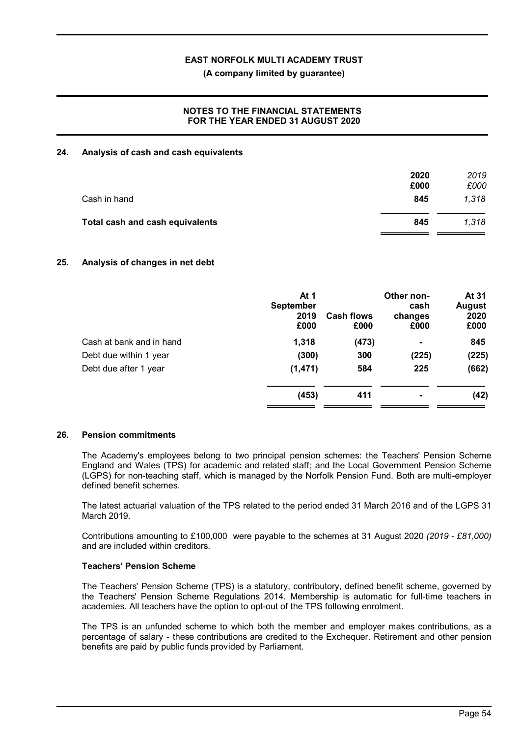**(A company limited by guarantee)**

### **NOTES TO THE FINANCIAL STATEMENTS FOR THE YEAR ENDED 31 AUGUST 2020**

### **24. Analysis of cash and cash equivalents**

|                                 | 2020<br>£000 | 2019<br>£000 |
|---------------------------------|--------------|--------------|
| Cash in hand                    | 845          | 1,318        |
| Total cash and cash equivalents | 845          | 1,318        |

### **25. Analysis of changes in net debt**

|                          | At 1<br><b>September</b><br>2019<br>£000 | <b>Cash flows</b><br>£000 | Other non-<br>cash<br>changes<br>£000 | At 31<br><b>August</b><br>2020<br>£000 |
|--------------------------|------------------------------------------|---------------------------|---------------------------------------|----------------------------------------|
| Cash at bank and in hand | 1,318                                    | (473)                     | ٠                                     | 845                                    |
| Debt due within 1 year   | (300)                                    | 300                       | (225)                                 | (225)                                  |
| Debt due after 1 year    | (1, 471)                                 | 584                       | 225                                   | (662)                                  |
|                          | (453)                                    | 411                       | ۰                                     | (42)                                   |

#### **26. Pension commitments**

The Academy's employees belong to two principal pension schemes: the Teachers' Pension Scheme England and Wales (TPS) for academic and related staff; and the Local Government Pension Scheme (LGPS) for non-teaching staff, which is managed by the Norfolk Pension Fund. Both are multi-employer defined benefit schemes.

The latest actuarial valuation of the TPS related to the period ended 31 March 2016 and of the LGPS 31 March 2019.

Contributions amounting to £100,000 were payable to the schemes at 31 August 2020 *(2019 - £81,000)* and are included within creditors.

#### **Teachers' Pension Scheme**

The Teachers' Pension Scheme (TPS) is a statutory, contributory, defined benefit scheme, governed by the Teachers' Pension Scheme Regulations 2014. Membership is automatic for full-time teachers in academies. All teachers have the option to opt-out of the TPS following enrolment.

The TPS is an unfunded scheme to which both the member and employer makes contributions, as a percentage of salary - these contributions are credited to the Exchequer. Retirement and other pension benefits are paid by public funds provided by Parliament.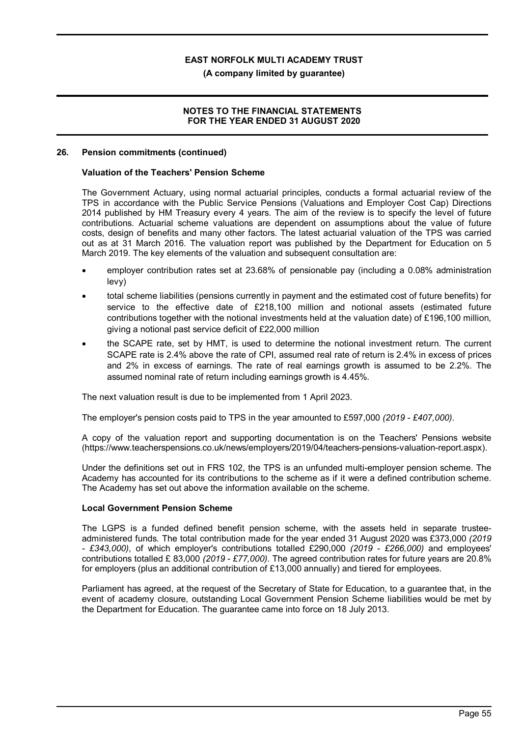### **(A company limited by guarantee)**

### **NOTES TO THE FINANCIAL STATEMENTS FOR THE YEAR ENDED 31 AUGUST 2020**

#### **26. Pension commitments (continued)**

### **Valuation of the Teachers' Pension Scheme**

The Government Actuary, using normal actuarial principles, conducts a formal actuarial review of the TPS in accordance with the Public Service Pensions (Valuations and Employer Cost Cap) Directions 2014 published by HM Treasury every 4 years. The aim of the review is to specify the level of future contributions. Actuarial scheme valuations are dependent on assumptions about the value of future costs, design of benefits and many other factors. The latest actuarial valuation of the TPS was carried out as at 31 March 2016. The valuation report was published by the Department for Education on 5 March 2019. The key elements of the valuation and subsequent consultation are:

- · employer contribution rates set at 23.68% of pensionable pay (including a 0.08% administration levy)
- · total scheme liabilities (pensions currently in payment and the estimated cost of future benefits) for service to the effective date of £218,100 million and notional assets (estimated future contributions together with the notional investments held at the valuation date) of £196,100 million, giving a notional past service deficit of £22,000 million
- · the SCAPE rate, set by HMT, is used to determine the notional investment return. The current SCAPE rate is 2.4% above the rate of CPI, assumed real rate of return is 2.4% in excess of prices and 2% in excess of earnings. The rate of real earnings growth is assumed to be 2.2%. The assumed nominal rate of return including earnings growth is 4.45%.

The next valuation result is due to be implemented from 1 April 2023.

The employer's pension costs paid to TPS in the year amounted to £597,000 *(2019 - £407,000)*.

A copy of the valuation report and supporting documentation is on the Teachers' Pensions website (https://www.teacherspensions.co.uk/news/employers/2019/04/teachers-pensions-valuation-report.aspx).

Under the definitions set out in FRS 102, the TPS is an unfunded multi-employer pension scheme. The Academy has accounted for its contributions to the scheme as if it were a defined contribution scheme. The Academy has set out above the information available on the scheme.

#### **Local Government Pension Scheme**

The LGPS is a funded defined benefit pension scheme, with the assets held in separate trusteeadministered funds. The total contribution made for the year ended 31 August 2020 was £373,000 *(2019 - £343,000)*, of which employer's contributions totalled £290,000 *(2019 - £266,000)* and employees' contributions totalled £ 83,000 *(2019 - £77,000)*. The agreed contribution rates for future years are 20.8% for employers (plus an additional contribution of £13,000 annually) and tiered for employees.

Parliament has agreed, at the request of the Secretary of State for Education, to a guarantee that, in the event of academy closure, outstanding Local Government Pension Scheme liabilities would be met by the Department for Education. The guarantee came into force on 18 July 2013.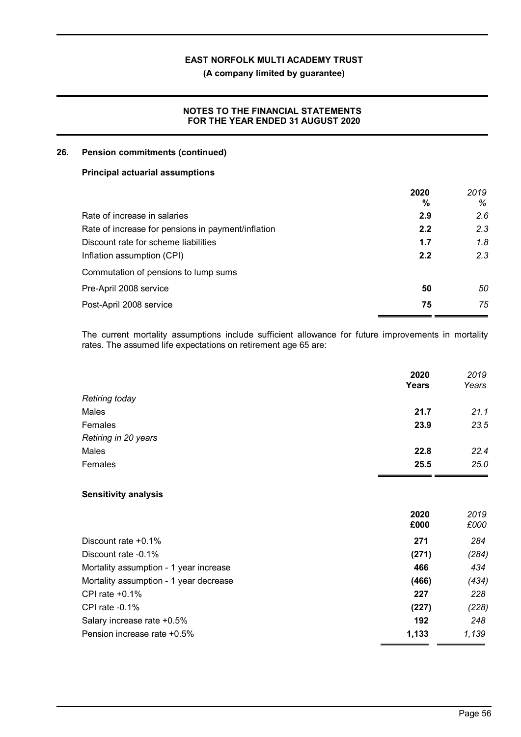**(A company limited by guarantee)**

### **NOTES TO THE FINANCIAL STATEMENTS FOR THE YEAR ENDED 31 AUGUST 2020**

### **26. Pension commitments (continued)**

### **Principal actuarial assumptions**

|                                                    | 2020<br>% | 2019<br>% |
|----------------------------------------------------|-----------|-----------|
| Rate of increase in salaries                       | 2.9       | 2.6       |
| Rate of increase for pensions in payment/inflation | 2.2       | 2.3       |
| Discount rate for scheme liabilities               | 1.7       | 1.8       |
| Inflation assumption (CPI)                         | 2.2       | 2.3       |
| Commutation of pensions to lump sums               |           |           |
| Pre-April 2008 service                             | 50        | 50        |
| Post-April 2008 service                            | 75        | 75        |

The current mortality assumptions include sufficient allowance for future improvements in mortality rates. The assumed life expectations on retirement age 65 are:

|                                        | 2020<br>Years | 2019<br>Years |
|----------------------------------------|---------------|---------------|
| <b>Retiring today</b>                  |               |               |
| Males                                  | 21.7          | 21.1          |
| Females                                | 23.9          | 23.5          |
| Retiring in 20 years                   |               |               |
| Males                                  | 22.8          | 22.4          |
| Females                                | 25.5          | 25.0          |
| <b>Sensitivity analysis</b>            |               |               |
|                                        | 2020<br>£000  | 2019<br>£000  |
| Discount rate +0.1%                    | 271           | 284           |
| Discount rate -0.1%                    | (271)         | (284)         |
| Mortality assumption - 1 year increase | 466           | 434           |
| Mortality assumption - 1 year decrease | (466)         | (434)         |
| CPI rate +0.1%                         | 227           | 228           |
| CPI rate -0.1%                         | (227)         | (228)         |
| Salary increase rate +0.5%             | 192           | 248           |
| Pension increase rate +0.5%            | 1,133         | 1,139         |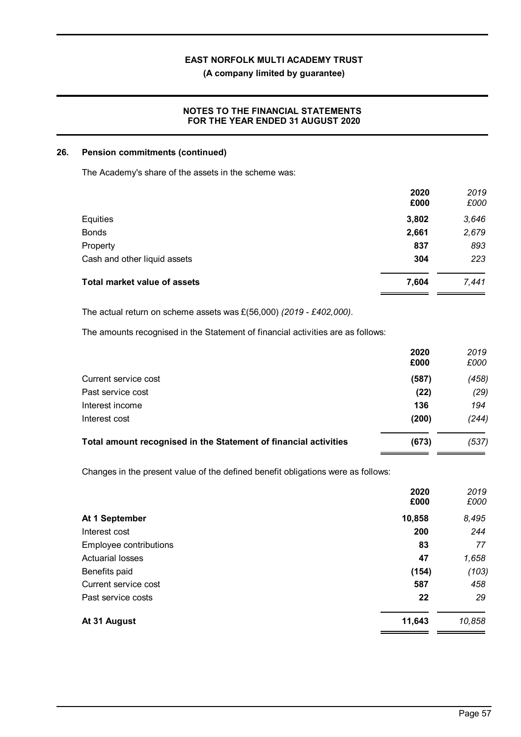### **(A company limited by guarantee)**

### **NOTES TO THE FINANCIAL STATEMENTS FOR THE YEAR ENDED 31 AUGUST 2020**

### **26. Pension commitments (continued)**

The Academy's share of the assets in the scheme was:

|       | 2019         |
|-------|--------------|
|       | £000         |
| 3,802 | 3,646        |
| 2,661 | 2,679        |
| 837   | 893          |
| 304   | 223          |
| 7,604 | 7,441        |
|       | 2020<br>£000 |

The actual return on scheme assets was £(56,000) *(2019 - £402,000)*.

The amounts recognised in the Statement of financial activities are as follows:

|                                                                  | 2020<br>£000 | 2019<br>£000 |
|------------------------------------------------------------------|--------------|--------------|
| Current service cost                                             | (587)        | (458)        |
| Past service cost                                                | (22)         | (29)         |
| Interest income                                                  | 136          | 194          |
| Interest cost                                                    | (200)        | (244)        |
| Total amount recognised in the Statement of financial activities | (673)        | (537)        |

Changes in the present value of the defined benefit obligations were as follows:

|                         | 2020<br>£000 | 2019<br>£000 |
|-------------------------|--------------|--------------|
| At 1 September          | 10,858       | 8,495        |
| Interest cost           | 200          | 244          |
| Employee contributions  | 83           | 77           |
| <b>Actuarial losses</b> | 47           | 1,658        |
| Benefits paid           | (154)        | (103)        |
| Current service cost    | 587          | 458          |
| Past service costs      | 22           | 29           |
| At 31 August            | 11,643       | 10,858       |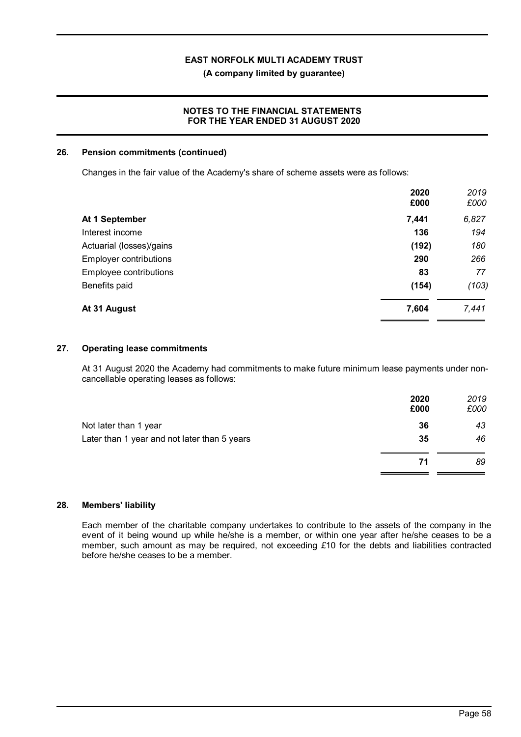**(A company limited by guarantee)**

### **NOTES TO THE FINANCIAL STATEMENTS FOR THE YEAR ENDED 31 AUGUST 2020**

### **26. Pension commitments (continued)**

Changes in the fair value of the Academy's share of scheme assets were as follows:

|                               | 2020<br>£000 | 2019<br>£000 |
|-------------------------------|--------------|--------------|
| At 1 September                | 7,441        | 6,827        |
| Interest income               | 136          | 194          |
| Actuarial (losses)/gains      | (192)        | 180          |
| <b>Employer contributions</b> | 290          | 266          |
| Employee contributions        | 83           | 77           |
| Benefits paid                 | (154)        | (103)        |
| At 31 August                  | 7,604        | 7,441        |

### **27. Operating lease commitments**

At 31 August 2020 the Academy had commitments to make future minimum lease payments under noncancellable operating leases as follows:

|                                              | 2020<br>£000 | 2019<br>£000 |
|----------------------------------------------|--------------|--------------|
| Not later than 1 year                        | 36           | 43           |
| Later than 1 year and not later than 5 years | 35           | 46           |
|                                              | 71           | 89           |
|                                              |              |              |

### **28. Members' liability**

Each member of the charitable company undertakes to contribute to the assets of the company in the event of it being wound up while he/she is a member, or within one year after he/she ceases to be a member, such amount as may be required, not exceeding *£*10 for the debts and liabilities contracted before he/she ceases to be a member.